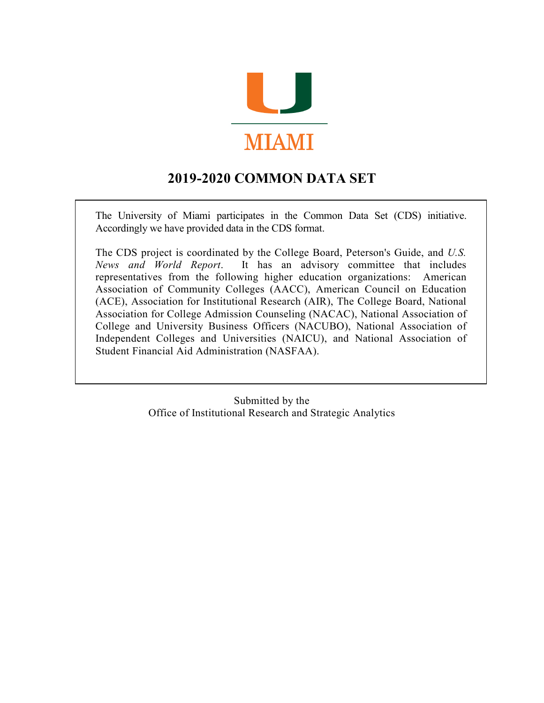

### **2019-2020 COMMON DATA SET**

The University of Miami participates in the Common Data Set (CDS) initiative. Accordingly we have provided data in the CDS format.

The CDS project is coordinated by the College Board, Peterson's Guide, and *U.S. News and World Report*. It has an advisory committee that includes representatives from the following higher education organizations: American Association of Community Colleges (AACC), American Council on Education (ACE), Association for Institutional Research (AIR), The College Board, National Association for College Admission Counseling (NACAC), National Association of College and University Business Officers (NACUBO), National Association of Independent Colleges and Universities (NAICU), and National Association of Student Financial Aid Administration (NASFAA).

> Submitted by the Office of Institutional Research and Strategic Analytics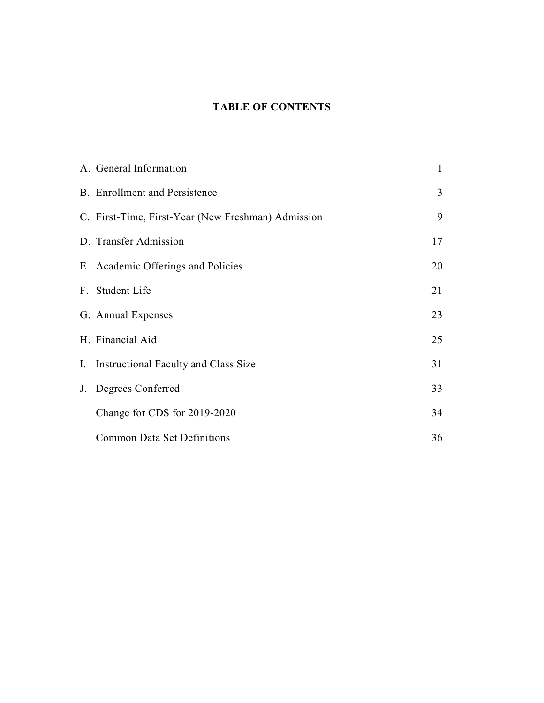### **TABLE OF CONTENTS**

| A. General Information                             | 1  |
|----------------------------------------------------|----|
| <b>B.</b> Enrollment and Persistence               | 3  |
| C. First-Time, First-Year (New Freshman) Admission | 9  |
| D. Transfer Admission                              | 17 |
| E. Academic Offerings and Policies                 | 20 |
| F. Student Life                                    | 21 |
| G. Annual Expenses                                 | 23 |
| H. Financial Aid                                   | 25 |
| I. Instructional Faculty and Class Size            | 31 |
| J. Degrees Conferred                               | 33 |
| Change for CDS for 2019-2020                       | 34 |
| <b>Common Data Set Definitions</b>                 | 36 |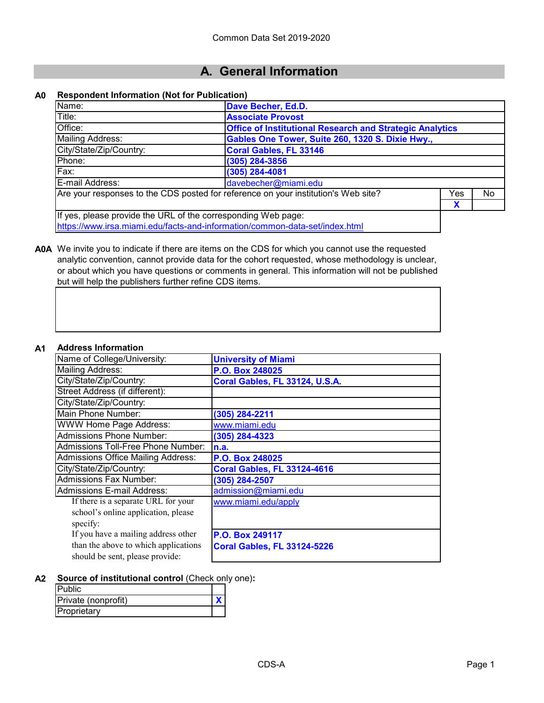### **A. General Information**

#### **A0 Respondent Information (Not for Publication)**

| Name:                                                                                     | Dave Becher, Ed.D.                                              |  |    |  |  |
|-------------------------------------------------------------------------------------------|-----------------------------------------------------------------|--|----|--|--|
| Title:                                                                                    | <b>Associate Provost</b>                                        |  |    |  |  |
| Office:                                                                                   | <b>Office of Institutional Research and Strategic Analytics</b> |  |    |  |  |
| <b>Mailing Address:</b>                                                                   | Gables One Tower, Suite 260, 1320 S. Dixie Hwy.,                |  |    |  |  |
| City/State/Zip/Country:                                                                   | <b>Coral Gables, FL 33146</b>                                   |  |    |  |  |
| Phone:                                                                                    | $(305)$ 284-3856                                                |  |    |  |  |
| Fax:                                                                                      | (305) 284-4081                                                  |  |    |  |  |
| E-mail Address:<br>davebecher@miami.edu                                                   |                                                                 |  |    |  |  |
| Are your responses to the CDS posted for reference on your institution's Web site?<br>Yes |                                                                 |  | No |  |  |
| X                                                                                         |                                                                 |  |    |  |  |
| If yes, please provide the URL of the corresponding Web page:                             |                                                                 |  |    |  |  |
| https://www.irsa.miami.edu/facts-and-information/common-data-set/index.html               |                                                                 |  |    |  |  |

**A0A** We invite you to indicate if there are items on the CDS for which you cannot use the requested analytic convention, cannot provide data for the cohort requested, whose methodology is unclear, or about which you have questions or comments in general. This information will not be published but will help the publishers further refine CDS items.

#### **A1 Address Information**

| AUULESS IIIIUI IIIAUUII                   |                                    |
|-------------------------------------------|------------------------------------|
| Name of College/University:               | <b>University of Miami</b>         |
| <b>Mailing Address:</b>                   | P.O. Box 248025                    |
| City/State/Zip/Country:                   | Coral Gables, FL 33124, U.S.A.     |
| Street Address (if different):            |                                    |
| City/State/Zip/Country:                   |                                    |
| Main Phone Number:                        | (305) 284-2211                     |
| <b>WWW Home Page Address:</b>             | www.miami.edu                      |
| <b>Admissions Phone Number:</b>           | (305) 284-4323                     |
| Admissions Toll-Free Phone Number:        | n.a.                               |
| <b>Admissions Office Mailing Address:</b> | P.O. Box 248025                    |
| City/State/Zip/Country:                   | <b>Coral Gables, FL 33124-4616</b> |
| <b>Admissions Fax Number:</b>             | (305) 284-2507                     |
| Admissions E-mail Address:                | admission@miami.edu                |
| If there is a separate URL for your       | www.miami.edu/apply                |
| school's online application, please       |                                    |
| specify:                                  |                                    |
| If you have a mailing address other       | P.O. Box 249117                    |
| than the above to which applications      | <b>Coral Gables, FL 33124-5226</b> |
| should be sent, please provide:           |                                    |

**A2 Source of institutional control** (Check only one)**:**

| <b>Public</b>       |  |
|---------------------|--|
| Private (nonprofit) |  |
| Proprietary         |  |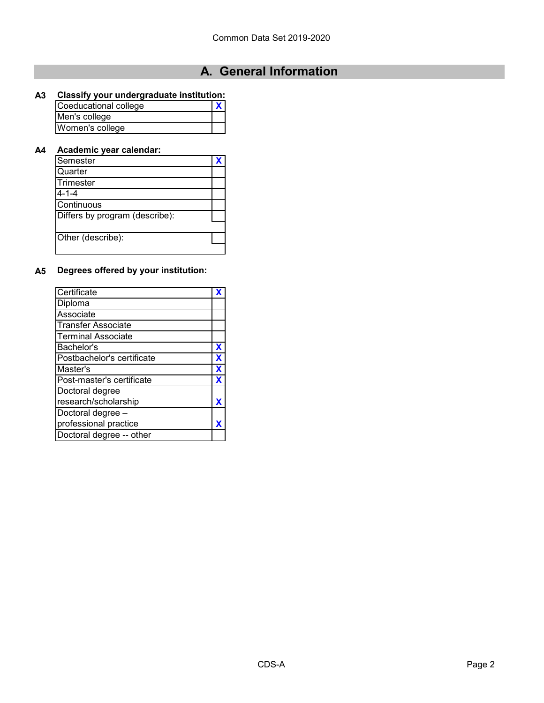## **A. General Information**

### **A3 Classify your undergraduate institution:**

| Coeducational college |  |
|-----------------------|--|
| Men's college         |  |
| Women's college       |  |

#### **A4 Academic year calendar:**

| Semester                       |  |
|--------------------------------|--|
| Quarter                        |  |
| Trimester                      |  |
| $4 - 1 - 4$                    |  |
| Continuous                     |  |
| Differs by program (describe): |  |
| Other (describe):              |  |
|                                |  |

#### **A5 Degrees offered by your institution:**

| Certificate                |   |
|----------------------------|---|
| Diploma                    |   |
| Associate                  |   |
| <b>Transfer Associate</b>  |   |
| <b>Terminal Associate</b>  |   |
| Bachelor's                 | х |
| Postbachelor's certificate |   |
| Master's                   |   |
| Post-master's certificate  |   |
| Doctoral degree            |   |
| research/scholarship       |   |
| Doctoral degree -          |   |
| professional practice      |   |
| Doctoral degree -- other   |   |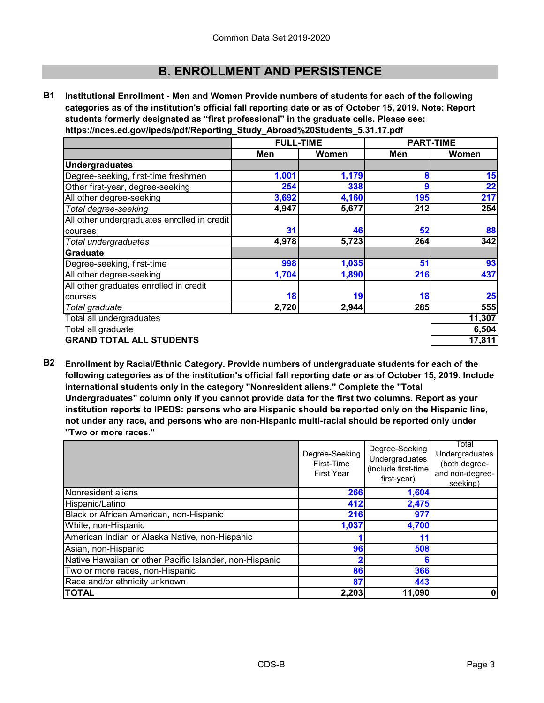**B1 Institutional Enrollment - Men and Women Provide numbers of students for each of the following categories as of the institution's official fall reporting date or as of October 15, 2019. Note: Report students formerly designated as "first professional" in the graduate cells. Please see: https://nces.ed.gov/ipeds/pdf/Reporting\_Study\_Abroad%20Students\_5.31.17.pdf**

|                                             | <b>FULL-TIME</b> |       | <b>PART-TIME</b> |        |
|---------------------------------------------|------------------|-------|------------------|--------|
|                                             | Men              | Women | Men              | Women  |
| <b>Undergraduates</b>                       |                  |       |                  |        |
| Degree-seeking, first-time freshmen         | 1,001            | 1,179 | 8                | 15     |
| Other first-year, degree-seeking            | 254              | 338   | 9                | 22     |
| All other degree-seeking                    | 3,692            | 4,160 | 195              | 217    |
| Total degree-seeking                        | 4,947            | 5,677 | 212              | 254    |
| All other undergraduates enrolled in credit |                  |       |                  |        |
| courses                                     | 31               | 46    | 52               | 88     |
| Total undergraduates                        | 4,978            | 5,723 | 264              | 342    |
| Graduate                                    |                  |       |                  |        |
| Degree-seeking, first-time                  | 998              | 1,035 | 51               | 93     |
| All other degree-seeking                    | 1,704            | 1,890 | 216              | 437    |
| All other graduates enrolled in credit      |                  |       |                  |        |
| courses                                     | 18               | 19    | 18               | 25     |
| Total graduate                              | 2,720            | 2,944 | 285              | 555    |
| Total all undergraduates                    |                  |       |                  | 11,307 |
| Total all graduate                          |                  |       |                  | 6,504  |
| <b>GRAND TOTAL ALL STUDENTS</b>             |                  |       |                  | 17,811 |

**B2 Enrollment by Racial/Ethnic Category. Provide numbers of undergraduate students for each of the following categories as of the institution's official fall reporting date or as of October 15, 2019. Include international students only in the category "Nonresident aliens." Complete the "Total Undergraduates" column only if you cannot provide data for the first two columns. Report as your institution reports to IPEDS: persons who are Hispanic should be reported only on the Hispanic line, not under any race, and persons who are non-Hispanic multi-racial should be reported only under "Two or more races."** 

|                                                         | Degree-Seeking<br>Degree-Seeking |                     | Total           |
|---------------------------------------------------------|----------------------------------|---------------------|-----------------|
|                                                         |                                  | Undergraduates      |                 |
|                                                         | First-Time                       | Undergraduates      | (both degree-   |
|                                                         | <b>First Year</b>                | (include first-time | and non-degree- |
|                                                         |                                  | first-year)         | seeking)        |
| Nonresident aliens                                      | 266                              | 1,604               |                 |
| Hispanic/Latino                                         | 412                              | 2,475               |                 |
| Black or African American, non-Hispanic                 | 216                              | 977                 |                 |
| White, non-Hispanic                                     | 1,037                            | 4,700               |                 |
| American Indian or Alaska Native, non-Hispanic          |                                  | 11                  |                 |
| Asian, non-Hispanic                                     | 96                               | 508                 |                 |
| Native Hawaiian or other Pacific Islander, non-Hispanic |                                  |                     |                 |
| Two or more races, non-Hispanic                         | 86                               | 366                 |                 |
| Race and/or ethnicity unknown                           | 87                               | 443                 |                 |
| <b>TOTAL</b>                                            | 2,203                            | 11,090              | 0               |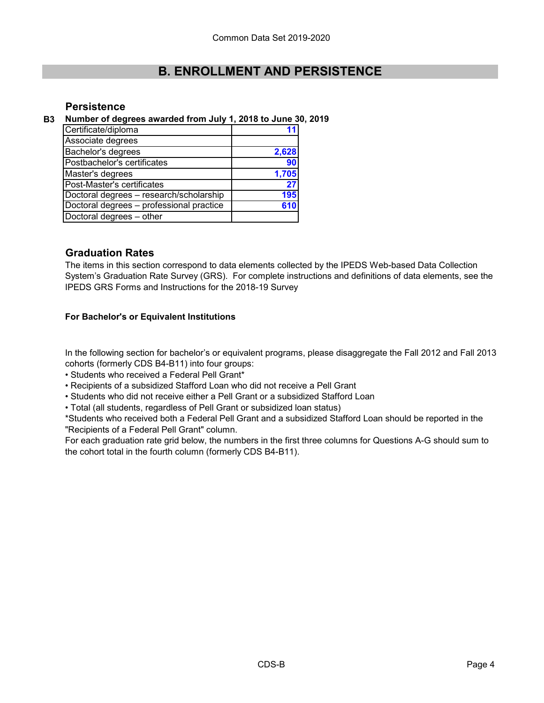#### **Persistence**

#### **B3 Number of degrees awarded from July 1, 2018 to June 30, 2019**

| Certificate/diploma                      |       |
|------------------------------------------|-------|
| Associate degrees                        |       |
| Bachelor's degrees                       | 2,628 |
| Postbachelor's certificates              | 90    |
| Master's degrees                         | 1,705 |
| Post-Master's certificates               | 27    |
| Doctoral degrees - research/scholarship  | 195   |
| Doctoral degrees - professional practice |       |
| Doctoral degrees - other                 |       |

#### **Graduation Rates**

The items in this section correspond to data elements collected by the IPEDS Web-based Data Collection System's Graduation Rate Survey (GRS). For complete instructions and definitions of data elements, see the IPEDS GRS Forms and Instructions for the 2018-19 Survey

#### **For Bachelor's or Equivalent Institutions**

In the following section for bachelor's or equivalent programs, please disaggregate the Fall 2012 and Fall 2013 cohorts (formerly CDS B4-B11) into four groups:

• Students who received a Federal Pell Grant\*

- Recipients of a subsidized Stafford Loan who did not receive a Pell Grant
- Students who did not receive either a Pell Grant or a subsidized Stafford Loan
- Total (all students, regardless of Pell Grant or subsidized loan status)

\*Students who received both a Federal Pell Grant and a subsidized Stafford Loan should be reported in the "Recipients of a Federal Pell Grant" column.

For each graduation rate grid below, the numbers in the first three columns for Questions A-G should sum to the cohort total in the fourth column (formerly CDS B4-B11).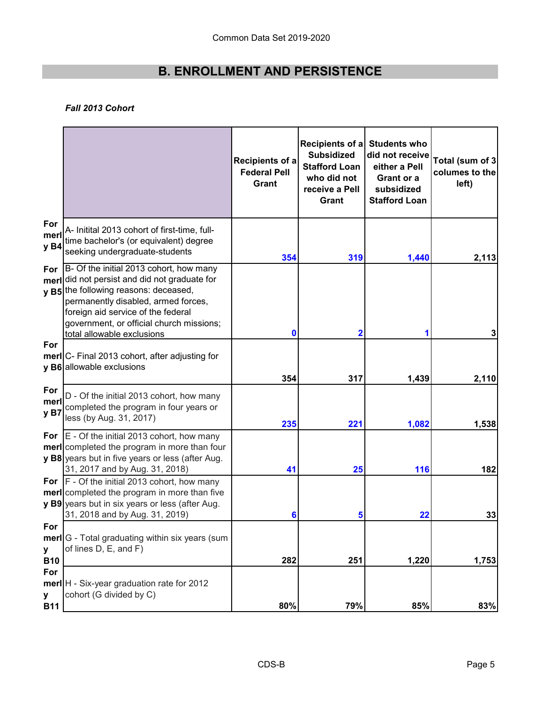#### *Fall 2013 Cohort*

|                        |                                                                                                                                                                                                                                                                                     | <b>Recipients of a</b><br><b>Federal Pell</b><br>Grant | Recipients of a<br><b>Subsidized</b><br><b>Stafford Loan</b><br>who did not<br>receive a Pell<br>Grant | <b>Students who</b><br>did not receive<br>either a Pell<br>Grant or a<br>subsidized<br><b>Stafford Loan</b> | Total (sum of 3<br>columes to the<br>left) |
|------------------------|-------------------------------------------------------------------------------------------------------------------------------------------------------------------------------------------------------------------------------------------------------------------------------------|--------------------------------------------------------|--------------------------------------------------------------------------------------------------------|-------------------------------------------------------------------------------------------------------------|--------------------------------------------|
| For<br>merl<br>y B4    | A- Initital 2013 cohort of first-time, full-<br>time bachelor's (or equivalent) degree<br>seeking undergraduate-students                                                                                                                                                            | 354                                                    | 319                                                                                                    | 1,440                                                                                                       | 2,113                                      |
| For<br>merl            | B- Of the initial 2013 cohort, how many<br>did not persist and did not graduate for<br>v B5 the following reasons: deceased,<br>permanently disabled, armed forces,<br>foreign aid service of the federal<br>government, or official church missions;<br>total allowable exclusions | 0                                                      | $\overline{\mathbf{2}}$                                                                                |                                                                                                             | 3                                          |
| For                    | merl C- Final 2013 cohort, after adjusting for<br>y B6 allowable exclusions                                                                                                                                                                                                         | 354                                                    | 317                                                                                                    | 1,439                                                                                                       | 2,110                                      |
| For<br>merl<br>y B7    | D - Of the initial 2013 cohort, how many<br>completed the program in four years or<br>less (by Aug. 31, 2017)                                                                                                                                                                       | 235                                                    | 221                                                                                                    | 1,082                                                                                                       | 1,538                                      |
|                        | For $E -$ Of the initial 2013 cohort, how many<br>merl completed the program in more than four<br>y B8 years but in five years or less (after Aug.<br>31, 2017 and by Aug. 31, 2018)                                                                                                | 41                                                     | 25                                                                                                     | 116                                                                                                         | 182                                        |
|                        | For $ F - \text{Of the initial } 2013$ cohort, how many<br><b>merl</b> completed the program in more than five<br>y B9 years but in six years or less (after Aug.<br>31, 2018 and by Aug. 31, 2019)                                                                                 | 6                                                      | 5                                                                                                      | 22                                                                                                          | 33                                         |
| For<br>У<br><b>B10</b> | merl G - Total graduating within six years (sum<br>of lines D, E, and F)                                                                                                                                                                                                            | 282                                                    | 251                                                                                                    | 1,220                                                                                                       | 1,753                                      |
| For<br>У<br><b>B11</b> | merl H - Six-year graduation rate for 2012<br>cohort (G divided by C)                                                                                                                                                                                                               | 80%                                                    | 79%                                                                                                    | 85%                                                                                                         | 83%                                        |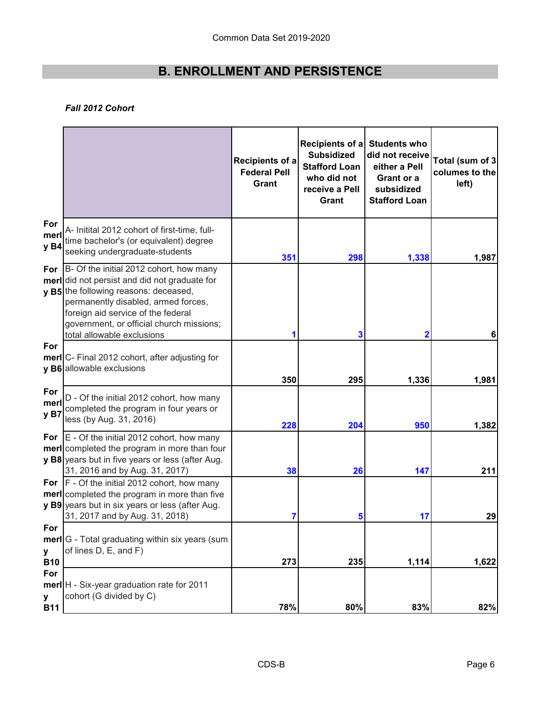#### *Fall 2012 Cohort*

|                        |                                                                                                                                                                                                                                                                                                 | <b>Recipients of a</b><br><b>Federal Pell</b><br>Grant | Recipients of a<br><b>Subsidized</b><br><b>Stafford Loan</b><br>who did not<br>receive a Pell<br>Grant | <b>Students who</b><br>did not receive<br>either a Pell<br><b>Grant or a</b><br>subsidized<br><b>Stafford Loan</b> | Total (sum of 3<br>columes to the<br>left) |
|------------------------|-------------------------------------------------------------------------------------------------------------------------------------------------------------------------------------------------------------------------------------------------------------------------------------------------|--------------------------------------------------------|--------------------------------------------------------------------------------------------------------|--------------------------------------------------------------------------------------------------------------------|--------------------------------------------|
| For<br>merl<br>y B4    | A- Initital 2012 cohort of first-time, full-<br>time bachelor's (or equivalent) degree<br>seeking undergraduate-students                                                                                                                                                                        | 351                                                    | 298                                                                                                    | 1,338                                                                                                              | 1,987                                      |
| For                    | B- Of the initial 2012 cohort, how many<br>merl did not persist and did not graduate for<br><b>v B5</b> the following reasons: deceased,<br>permanently disabled, armed forces,<br>foreign aid service of the federal<br>government, or official church missions;<br>total allowable exclusions |                                                        | 3                                                                                                      |                                                                                                                    | 6                                          |
| For                    | merl C- Final 2012 cohort, after adjusting for<br>y B6 allowable exclusions                                                                                                                                                                                                                     | 350                                                    | 295                                                                                                    | 1,336                                                                                                              | 1,981                                      |
| For<br>merl<br>yB7     | D - Of the initial 2012 cohort, how many<br>completed the program in four years or<br>less (by Aug. 31, 2016)                                                                                                                                                                                   | 228                                                    | 204                                                                                                    | 950                                                                                                                | 1,382                                      |
|                        | For $E -$ Of the initial 2012 cohort, how many<br><b>meri</b> completed the program in more than four<br>y B8 years but in five years or less (after Aug.<br>31, 2016 and by Aug. 31, 2017)                                                                                                     | 38                                                     | 26                                                                                                     | 147                                                                                                                | 211                                        |
|                        | For F - Of the initial 2012 cohort, how many<br><b>merl</b> completed the program in more than five<br>y B9 years but in six years or less (after Aug.<br>31, 2017 and by Aug. 31, 2018)                                                                                                        |                                                        | 5                                                                                                      | 17                                                                                                                 | 29                                         |
| For<br>У<br><b>B10</b> | merl G - Total graduating within six years (sum<br>of lines D, E, and F)                                                                                                                                                                                                                        | 273                                                    | 235                                                                                                    | 1,114                                                                                                              | 1,622                                      |
| For<br>У<br><b>B11</b> | merl H - Six-year graduation rate for 2011<br>cohort (G divided by C)                                                                                                                                                                                                                           | 78%                                                    | 80%                                                                                                    | 83%                                                                                                                | 82%                                        |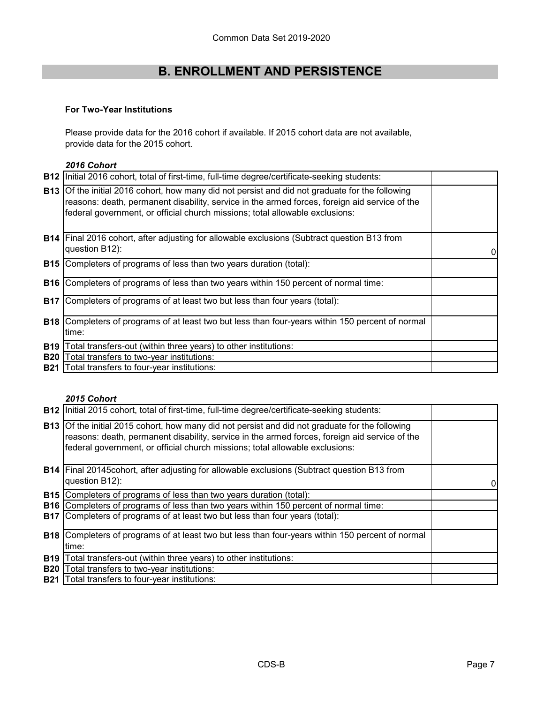#### **For Two-Year Institutions**

Please provide data for the 2016 cohort if available. If 2015 cohort data are not available, provide data for the 2015 cohort.

#### *2016 Cohort*

|            | <b>B12</b> Initial 2016 cohort, total of first-time, full-time degree/certificate-seeking students:                                                                                                                                                                                     |   |
|------------|-----------------------------------------------------------------------------------------------------------------------------------------------------------------------------------------------------------------------------------------------------------------------------------------|---|
|            | <b>B13</b> Of the initial 2016 cohort, how many did not persist and did not graduate for the following<br>reasons: death, permanent disability, service in the armed forces, foreign aid service of the<br>federal government, or official church missions; total allowable exclusions: |   |
|            | <b>B14</b> Final 2016 cohort, after adjusting for allowable exclusions (Subtract question B13 from<br>question B12):                                                                                                                                                                    | 0 |
|            | <b>B15</b> Completers of programs of less than two years duration (total):                                                                                                                                                                                                              |   |
| <b>B16</b> | Completers of programs of less than two years within 150 percent of normal time:                                                                                                                                                                                                        |   |
| <b>B17</b> | Completers of programs of at least two but less than four years (total):                                                                                                                                                                                                                |   |
| <b>B18</b> | Completers of programs of at least two but less than four-years within 150 percent of normal<br>time:                                                                                                                                                                                   |   |
| <b>B19</b> | Total transfers-out (within three years) to other institutions:                                                                                                                                                                                                                         |   |
| <b>B20</b> | Total transfers to two-year institutions:                                                                                                                                                                                                                                               |   |
| <b>B21</b> | Total transfers to four-year institutions:                                                                                                                                                                                                                                              |   |
|            |                                                                                                                                                                                                                                                                                         |   |

#### *2015 Cohort*

|            | B12 Initial 2015 cohort, total of first-time, full-time degree/certificate-seeking students:                                                                                                                                                                                            |                |
|------------|-----------------------------------------------------------------------------------------------------------------------------------------------------------------------------------------------------------------------------------------------------------------------------------------|----------------|
|            | <b>B13</b> Of the initial 2015 cohort, how many did not persist and did not graduate for the following<br>reasons: death, permanent disability, service in the armed forces, foreign aid service of the<br>federal government, or official church missions; total allowable exclusions: |                |
|            | <b>B14</b> Final 20145cohort, after adjusting for allowable exclusions (Subtract question B13 from<br>question B12):                                                                                                                                                                    | $\overline{0}$ |
|            | <b>B15</b> Completers of programs of less than two years duration (total):                                                                                                                                                                                                              |                |
|            | <b>B16</b> Completers of programs of less than two years within 150 percent of normal time:                                                                                                                                                                                             |                |
|            | B17 Completers of programs of at least two but less than four years (total):                                                                                                                                                                                                            |                |
|            | <b>B18</b> Completers of programs of at least two but less than four-years within 150 percent of normal                                                                                                                                                                                 |                |
|            | time:                                                                                                                                                                                                                                                                                   |                |
| <b>B19</b> | Total transfers-out (within three years) to other institutions:                                                                                                                                                                                                                         |                |
| <b>B20</b> | Total transfers to two-year institutions:                                                                                                                                                                                                                                               |                |
| <b>B21</b> | Total transfers to four-year institutions:                                                                                                                                                                                                                                              |                |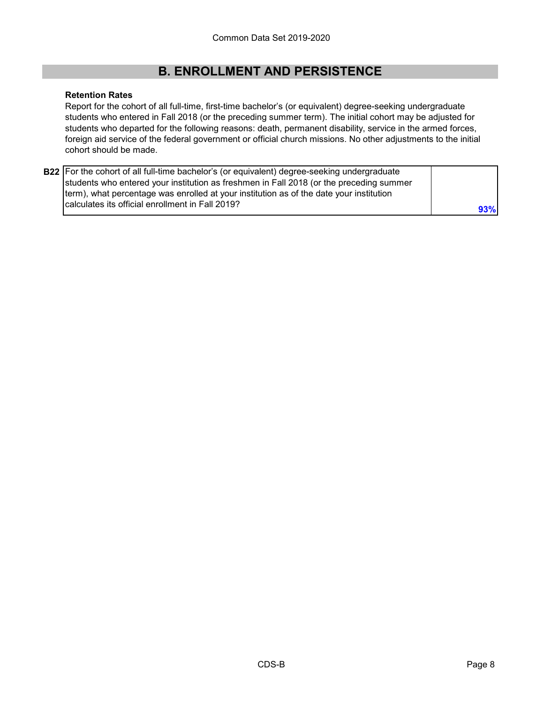#### **Retention Rates**

Report for the cohort of all full-time, first-time bachelor's (or equivalent) degree-seeking undergraduate students who entered in Fall 2018 (or the preceding summer term). The initial cohort may be adjusted for students who departed for the following reasons: death, permanent disability, service in the armed forces, foreign aid service of the federal government or official church missions. No other adjustments to the initial cohort should be made.

| <b>B22</b> For the cohort of all full-time bachelor's (or equivalent) degree-seeking undergraduate |     |
|----------------------------------------------------------------------------------------------------|-----|
| students who entered your institution as freshmen in Fall 2018 (or the preceding summer            |     |
| term), what percentage was enrolled at your institution as of the date your institution            |     |
| calculates its official enrollment in Fall 2019?                                                   | 93% |
|                                                                                                    |     |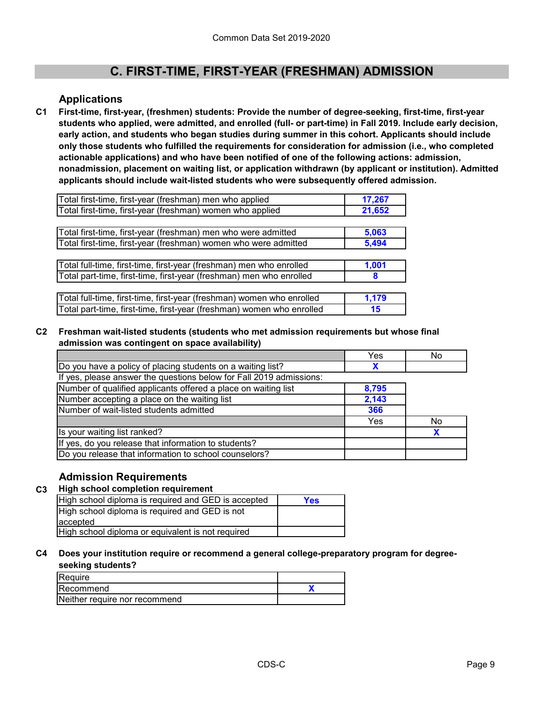### **Applications**

**First-time, first-year, (freshmen) students: Provide the number of degree-seeking, first-time, first-year students who applied, were admitted, and enrolled (full- or part-time) in Fall 2019. Include early decision, early action, and students who began studies during summer in this cohort. Applicants should include only those students who fulfilled the requirements for consideration for admission (i.e., who completed actionable applications) and who have been notified of one of the following actions: admission, nonadmission, placement on waiting list, or application withdrawn (by applicant or institution). Admitted applicants should include wait-listed students who were subsequently offered admission. C1**

| Total first-time, first-year (freshman) men who applied               | 17,267 |
|-----------------------------------------------------------------------|--------|
| Total first-time, first-year (freshman) women who applied             | 21,652 |
|                                                                       |        |
| Total first-time, first-year (freshman) men who were admitted         | 5,063  |
| Total first-time, first-year (freshman) women who were admitted       | 5,494  |
|                                                                       |        |
| Total full-time, first-time, first-year (freshman) men who enrolled   | 1,001  |
| Total part-time, first-time, first-year (freshman) men who enrolled   | 8      |
|                                                                       |        |
| Total full-time, first-time, first-year (freshman) women who enrolled | 1,179  |
| Total part-time, first-time, first-year (freshman) women who enrolled | 15     |

#### **C2 Freshman wait-listed students (students who met admission requirements but whose final admission was contingent on space availability)**

|                                                                     | Yes   | No |
|---------------------------------------------------------------------|-------|----|
| Do you have a policy of placing students on a waiting list?         |       |    |
| If yes, please answer the questions below for Fall 2019 admissions: |       |    |
| Number of qualified applicants offered a place on waiting list      | 8,795 |    |
| Number accepting a place on the waiting list                        | 2,143 |    |
| Number of wait-listed students admitted                             | 366   |    |
|                                                                     | Yes   | No |
| Is your waiting list ranked?                                        |       |    |
| If yes, do you release that information to students?                |       |    |
| Do you release that information to school counselors?               |       |    |

#### **Admission Requirements**

#### **C3 High school completion requirement**

| High school diploma is required and GED is accepted | <b>Yes</b> |
|-----------------------------------------------------|------------|
| High school diploma is required and GED is not      |            |
| laccepted                                           |            |
| High school diploma or equivalent is not required   |            |
|                                                     |            |

#### **C4 Does your institution require or recommend a general college-preparatory program for degreeseeking students?**

| Require                       |  |
|-------------------------------|--|
| <b>IRecommend</b>             |  |
| Neither require nor recommend |  |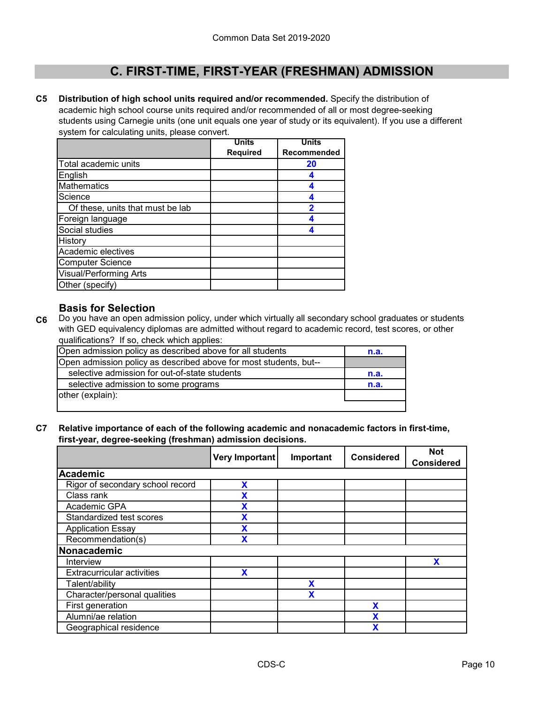**C5 Distribution of high school units required and/or recommended.** Specify the distribution of academic high school course units required and/or recommended of all or most degree-seeking students using Carnegie units (one unit equals one year of study or its equivalent). If you use a different system for calculating units, please convert.

|                                  | <b>Units</b>    | <b>Units</b> |
|----------------------------------|-----------------|--------------|
|                                  | <b>Required</b> | Recommended  |
| Total academic units             |                 | 20           |
| English                          |                 |              |
| <b>Mathematics</b>               |                 |              |
| Science                          |                 |              |
| Of these, units that must be lab |                 | 2            |
| Foreign language                 |                 |              |
| Social studies                   |                 |              |
| History                          |                 |              |
| Academic electives               |                 |              |
| <b>Computer Science</b>          |                 |              |
| <b>Visual/Performing Arts</b>    |                 |              |
| Other (specify)                  |                 |              |

#### **Basis for Selection**

**C6** Do you have an open admission policy, under which virtually all secondary school graduates or students with GED equivalency diplomas are admitted without regard to academic record, test scores, or other qualifications? If so, check which applies:

| Open admission policy as described above for all students         | n.a. |
|-------------------------------------------------------------------|------|
| Open admission policy as described above for most students, but-- |      |
| selective admission for out-of-state students                     | n.a. |
| selective admission to some programs                              | n.a. |
| other (explain):                                                  |      |
|                                                                   |      |

**C7 Relative importance of each of the following academic and nonacademic factors in first-time, first-year, degree-seeking (freshman) admission decisions.**

|                                   | Very Important | Important | <b>Considered</b> | <b>Not</b><br><b>Considered</b> |
|-----------------------------------|----------------|-----------|-------------------|---------------------------------|
| Academic                          |                |           |                   |                                 |
| Rigor of secondary school record  | X              |           |                   |                                 |
| Class rank                        |                |           |                   |                                 |
| Academic GPA                      | X              |           |                   |                                 |
| Standardized test scores          | X              |           |                   |                                 |
| <b>Application Essay</b>          | X              |           |                   |                                 |
| Recommendation(s)                 | χ              |           |                   |                                 |
| Nonacademic                       |                |           |                   |                                 |
| Interview                         |                |           |                   | X                               |
| <b>Extracurricular activities</b> | X              |           |                   |                                 |
| Talent/ability                    |                | χ         |                   |                                 |
| Character/personal qualities      |                | X         |                   |                                 |
| First generation                  |                |           | X                 |                                 |
| Alumni/ae relation                |                |           |                   |                                 |
| Geographical residence            |                |           |                   |                                 |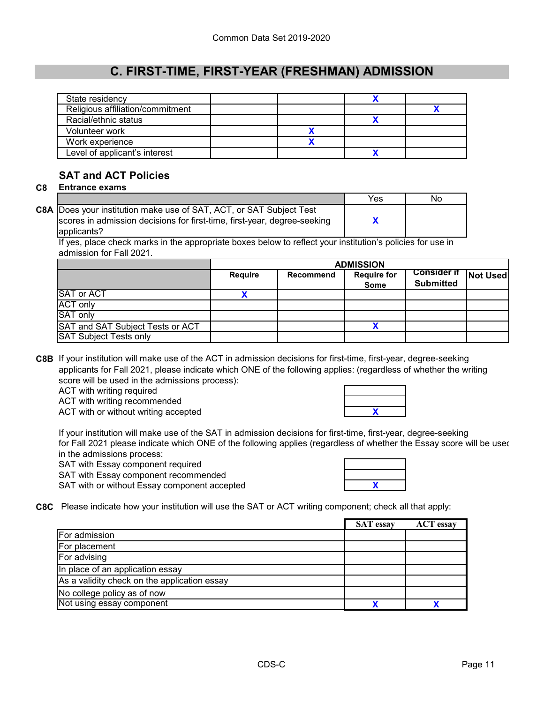| State residency                  |  |  |
|----------------------------------|--|--|
| Religious affiliation/commitment |  |  |
| Racial/ethnic status             |  |  |
| Volunteer work                   |  |  |
| Work experience                  |  |  |
| Level of applicant's interest    |  |  |

### **SAT and ACT Policies**

**C8 Entrance exams** 

|                                                                            | Yes | No |
|----------------------------------------------------------------------------|-----|----|
| <b>C8A</b> Does your institution make use of SAT, ACT, or SAT Subject Test |     |    |
| scores in admission decisions for first-time, first-year, degree-seeking   |     |    |
| applicants?                                                                |     |    |

If yes, place check marks in the appropriate boxes below to reflect your institution's policies for use in admission for Fall 2021.

|                                  | <b>ADMISSION</b> |           |                                   |                                          |  |
|----------------------------------|------------------|-----------|-----------------------------------|------------------------------------------|--|
|                                  | <b>Require</b>   | Recommend | <b>Require for</b><br><b>Some</b> | Consider if Not Used<br><b>Submitted</b> |  |
| <b>SAT or ACT</b>                |                  |           |                                   |                                          |  |
| <b>ACT only</b>                  |                  |           |                                   |                                          |  |
| <b>SAT only</b>                  |                  |           |                                   |                                          |  |
| SAT and SAT Subject Tests or ACT |                  |           |                                   |                                          |  |
| <b>SAT Subject Tests only</b>    |                  |           |                                   |                                          |  |

**C8B** If your institution will make use of the ACT in admission decisions for first-time, first-year, degree-seeking applicants for Fall 2021, please indicate which ONE of the following applies: (regardless of whether the writing score will be used in the admissions process):

ACT with writing required

ACT with writing recommended

ACT with or without writing accepted

If your institution will make use of the SAT in admission decisions for first-time, first-year, degree-seeking for Fall 2021 please indicate which ONE of the following applies (regardless of whether the Essay score will be used in the admissions process:

SAT with Essay component required

SAT with Essay component recommended SAT with or without Essay component accepted

| χ |  |
|---|--|
|   |  |

**X**

**C8C** Please indicate how your institution will use the SAT or ACT writing component; check all that apply:

|                                              | <b>SAT</b> essay | <b>ACT</b> essay |
|----------------------------------------------|------------------|------------------|
| For admission                                |                  |                  |
| For placement                                |                  |                  |
| For advising                                 |                  |                  |
| In place of an application essay             |                  |                  |
| As a validity check on the application essay |                  |                  |
| No college policy as of now                  |                  |                  |
| Not using essay component                    |                  |                  |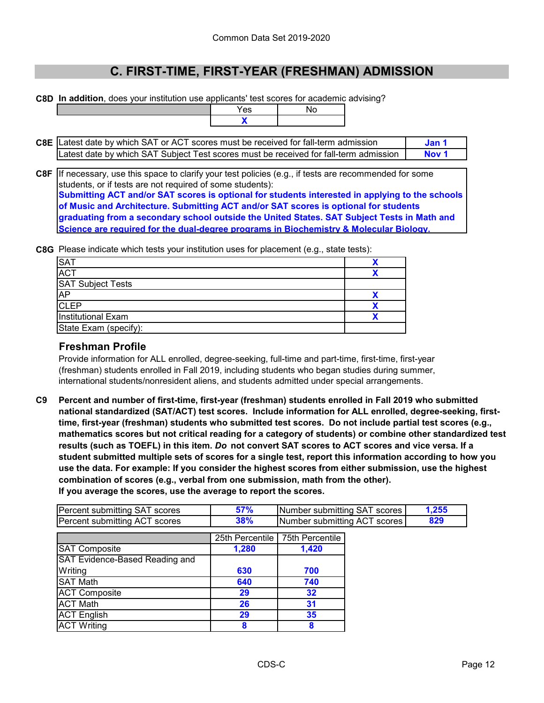**C8D In addition**, does your institution use applicants' test scores for academic advising?

| applicatits test scores for academ |    |
|------------------------------------|----|
| Yes                                | N٥ |
|                                    |    |

| <b>C8E</b> Latest date by which SAT or ACT scores must be received for fall-term admission |       |
|--------------------------------------------------------------------------------------------|-------|
| Latest date by which SAT Subject Test scores must be received for fall-term admission      | ∴ Nov |

**C8F** If necessary, use this space to clarify your test policies (e.g., if tests are recommended for some **Submitting ACT and/or SAT scores is optional for students interested in applying to the schools of Music and Architecture. Submitting ACT and/or SAT scores is optional for students graduating from a secondary school outside the United States. SAT Subject Tests in Math and Science are required for the dual-degree programs in Biochemistry & Molecular Biology.** students, or if tests are not required of some students):

**C8G** Please indicate which tests your institution uses for placement (e.g., state tests):

| <b>SAT</b>                |  |
|---------------------------|--|
| <b>ACT</b>                |  |
| <b>SAT Subject Tests</b>  |  |
| AP                        |  |
| <b>CLEP</b>               |  |
| <b>Institutional Exam</b> |  |
| State Exam (specify):     |  |

#### **Freshman Profile**

Provide information for ALL enrolled, degree-seeking, full-time and part-time, first-time, first-year (freshman) students enrolled in Fall 2019, including students who began studies during summer, international students/nonresident aliens, and students admitted under special arrangements.

**C9 Percent and number of first-time, first-year (freshman) students enrolled in Fall 2019 who submitted national standardized (SAT/ACT) test scores. Include information for ALL enrolled, degree-seeking, firsttime, first-year (freshman) students who submitted test scores. Do not include partial test scores (e.g., mathematics scores but not critical reading for a category of students) or combine other standardized test results (such as TOEFL) in this item.** *Do* **not convert SAT scores to ACT scores and vice versa. If a student submitted multiple sets of scores for a single test, report this information according to how you use the data. For example: If you consider the highest scores from either submission, use the highest combination of scores (e.g., verbal from one submission, math from the other). If you average the scores, use the average to report the scores.**

| Percent submitting SAT scores | 57% | Number submitting SAT scores | .255 |
|-------------------------------|-----|------------------------------|------|
| Percent submitting ACT scores | 38% | Number submitting ACT scores |      |

|                                       | 25th Percentile | 75th Percentile |
|---------------------------------------|-----------------|-----------------|
| SAT Composite                         | 1,280           | 1,420           |
| <b>SAT Evidence-Based Reading and</b> |                 |                 |
| Writing                               | 630             | 700             |
| <b>SAT Math</b>                       | 640             | 740             |
| <b>ACT Composite</b>                  | 29              | 32              |
| <b>ACT Math</b>                       | 26              | 31              |
| <b>ACT English</b>                    | 29              | 35              |
| <b>ACT Writing</b>                    |                 |                 |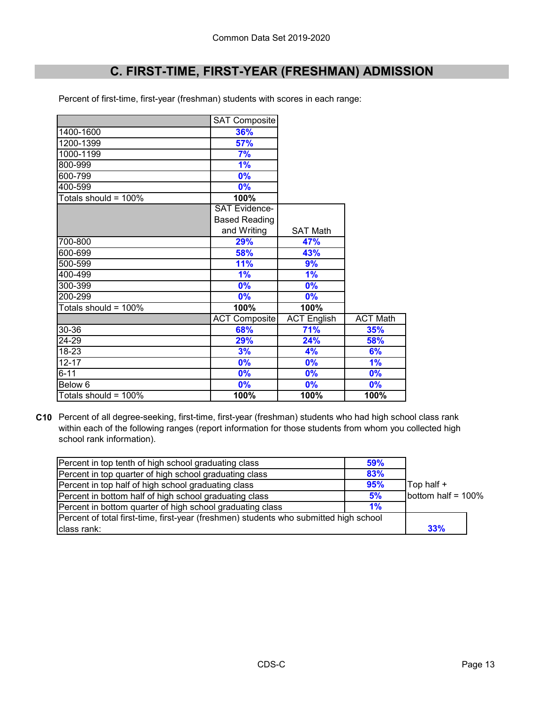Percent of first-time, first-year (freshman) students with scores in each range:

|                      | <b>SAT Composite</b> |                    |                 |
|----------------------|----------------------|--------------------|-----------------|
| 1400-1600            | 36%                  |                    |                 |
| 1200-1399            | 57%                  |                    |                 |
| 1000-1199            | 7%                   |                    |                 |
| 800-999              | 1%                   |                    |                 |
| 600-799              | 0%                   |                    |                 |
| 400-599              | 0%                   |                    |                 |
| Totals should = 100% | 100%                 |                    |                 |
|                      | <b>SAT Evidence-</b> |                    |                 |
|                      | <b>Based Reading</b> |                    |                 |
|                      | and Writing          | <b>SAT Math</b>    |                 |
| 700-800              | 29%                  | 47%                |                 |
| 600-699              | 58%                  | 43%                |                 |
| 500-599              | 11%                  | 9%                 |                 |
| 400-499              | 1%                   | 1%                 |                 |
| 300-399              | 0%                   | 0%                 |                 |
| 200-299              | 0%                   | 0%                 |                 |
| Totals should = 100% | 100%                 | 100%               |                 |
|                      | <b>ACT Composite</b> | <b>ACT English</b> | <b>ACT Math</b> |
| 30-36                | 68%                  | 71%                | 35%             |
| 24-29                | 29%                  | 24%                | 58%             |
| 18-23                | 3%                   | 4%                 | 6%              |
| $12 - 17$            | 0%                   | 0%                 | 1%              |
| $6 - 11$             | 0%                   | 0%                 | 0%              |
| Below 6              | 0%                   | 0%                 | 0%              |
| Totals should = 100% | 100%                 | 100%               | 100%            |

**C10** Percent of all degree-seeking, first-time, first-year (freshman) students who had high school class rank within each of the following ranges (report information for those students from whom you collected high school rank information).

| Percent in top tenth of high school graduating class                                  | 59% |                    |  |
|---------------------------------------------------------------------------------------|-----|--------------------|--|
| Percent in top quarter of high school graduating class                                | 83% |                    |  |
| Percent in top half of high school graduating class                                   | 95% | Top half +         |  |
| Percent in bottom half of high school graduating class                                | 5%  | bottom half = 100% |  |
| Percent in bottom quarter of high school graduating class                             | 1%  |                    |  |
| Percent of total first-time, first-year (freshmen) students who submitted high school |     |                    |  |
| class rank:                                                                           |     | 33%                |  |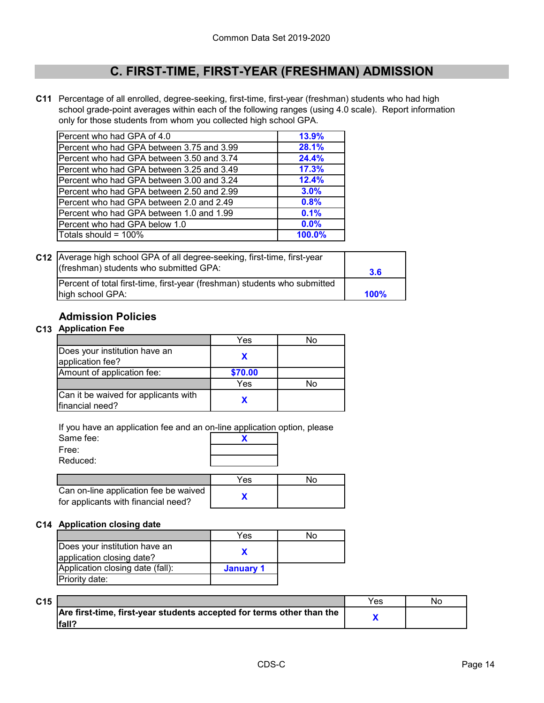**C11** Percentage of all enrolled, degree-seeking, first-time, first-year (freshman) students who had high school grade-point averages within each of the following ranges (using 4.0 scale). Report information only for those students from whom you collected high school GPA.

| Percent who had GPA of 4.0                | 13.9%  |
|-------------------------------------------|--------|
| Percent who had GPA between 3.75 and 3.99 | 28.1%  |
| Percent who had GPA between 3.50 and 3.74 | 24.4%  |
| Percent who had GPA between 3.25 and 3.49 | 17.3%  |
| Percent who had GPA between 3.00 and 3.24 | 12.4%  |
| Percent who had GPA between 2.50 and 2.99 | 3.0%   |
| Percent who had GPA between 2.0 and 2.49  | 0.8%   |
| Percent who had GPA between 1.0 and 1.99  | 0.1%   |
| Percent who had GPA below 1.0             | 0.0%   |
| Totals should = 100%                      | 100.0% |

| C12 Average high school GPA of all degree-seeking, first-time, first-year<br>(freshman) students who submitted GPA: | 3.6  |
|---------------------------------------------------------------------------------------------------------------------|------|
| Percent of total first-time, first-year (freshman) students who submitted                                           |      |
| high school GPA:                                                                                                    | 100% |

### **Admission Policies**

#### **C13 Application Fee**

|                                                         | Yes     | No |
|---------------------------------------------------------|---------|----|
| Does your institution have an<br>application fee?       |         |    |
| Amount of application fee:                              | \$70.00 |    |
|                                                         | Yes     | No |
| Can it be waived for applicants with<br>financial need? |         |    |

If you have an application fee and an on-line application option, please

| Same fee:                                                                    |     |     |
|------------------------------------------------------------------------------|-----|-----|
| Free:                                                                        |     |     |
| Reduced:                                                                     |     |     |
|                                                                              |     |     |
|                                                                              | Yes | .No |
| Can on-line application fee be waived<br>for applicants with financial need? |     |     |

#### **C14 Application closing date**

|                                                            | Yes       | No |
|------------------------------------------------------------|-----------|----|
| Does your institution have an<br>application closing date? |           |    |
| Application closing date (fall):                           | January 1 |    |
| Priority date:                                             |           |    |

| C15 |                                                                       | <b>Yes</b> | Νo |
|-----|-----------------------------------------------------------------------|------------|----|
|     | Are first-time, first-year students accepted for terms other than the |            |    |
|     | fall7                                                                 |            |    |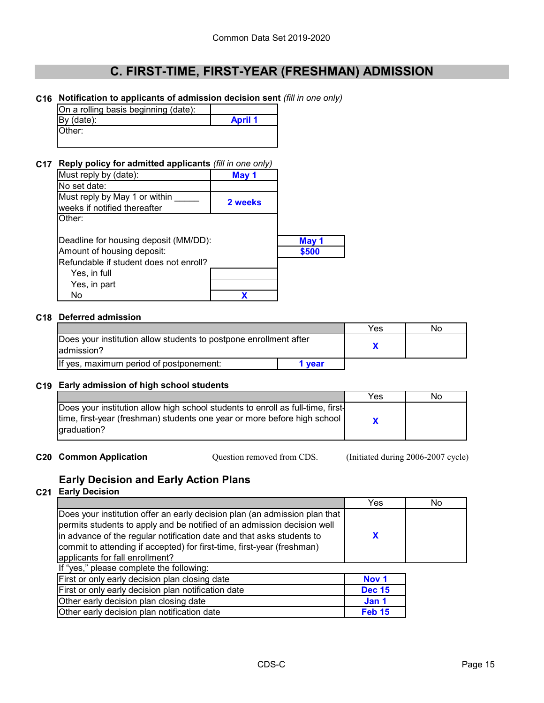#### **C16 Notification to applicants of admission decision sent** *(fill in one only)*

| On a rolling basis beginning (date): |                |
|--------------------------------------|----------------|
| By (date):                           | <b>April 1</b> |
| Other:                               |                |

#### **C17 Reply policy for admitted applicants** *(fill in one only)*

| Must reply by (date):                  | May 1   |       |
|----------------------------------------|---------|-------|
| No set date:                           |         |       |
| Must reply by May 1 or within          | 2 weeks |       |
| weeks if notified thereafter           |         |       |
| Other:                                 |         |       |
|                                        |         |       |
| Deadline for housing deposit (MM/DD):  |         | May 1 |
| Amount of housing deposit:             |         | \$500 |
| Refundable if student does not enroll? |         |       |
| Yes, in full                           |         |       |
| Yes, in part                           |         |       |
| No                                     |         |       |

#### **C18 Deferred admission**

|                                                                                  |      | Yes | No |
|----------------------------------------------------------------------------------|------|-----|----|
| Does your institution allow students to postpone enrollment after<br>ladmission? |      |     |    |
| If yes, maximum period of postponement:                                          | vear |     |    |

#### **C19 Early admission of high school students**

|                                                                                                                                                                               | Yes | Nο |
|-------------------------------------------------------------------------------------------------------------------------------------------------------------------------------|-----|----|
| Does your institution allow high school students to enroll as full-time, first-<br>  time, first-year (freshman) students one year or more before high school<br>laraduation? |     |    |

**C20 Common Application** Cuestion removed from CDS. (Initiated during 2006-2007 cycle) Question removed from CDS.

### **Early Decision and Early Action Plans**

#### **C21 Early Decision**

|                                                                                                                                                                                                                                                                                                                                             | Yes              | No |
|---------------------------------------------------------------------------------------------------------------------------------------------------------------------------------------------------------------------------------------------------------------------------------------------------------------------------------------------|------------------|----|
| Does your institution offer an early decision plan (an admission plan that<br>permits students to apply and be notified of an admission decision well<br>in advance of the regular notification date and that asks students to<br>commit to attending if accepted) for first-time, first-year (freshman)<br>applicants for fall enrollment? | X                |    |
| If "yes," please complete the following:                                                                                                                                                                                                                                                                                                    |                  |    |
| First or only early decision plan closing date                                                                                                                                                                                                                                                                                              | Nov <sub>1</sub> |    |
| First or only early decision plan notification date                                                                                                                                                                                                                                                                                         | <b>Dec 15</b>    |    |
| Other early decision plan closing date                                                                                                                                                                                                                                                                                                      | Jan 1            |    |
| Other early decision plan notification date                                                                                                                                                                                                                                                                                                 | <b>Feb 15</b>    |    |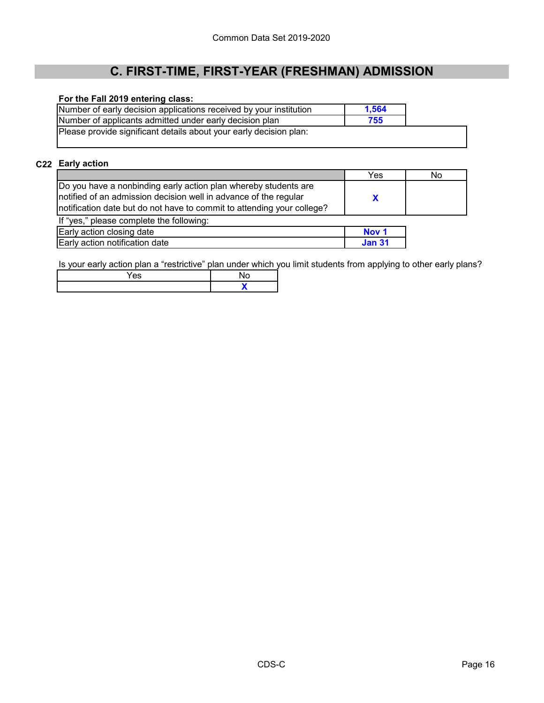#### **For the Fall 2019 entering class:**

| Number of early decision applications received by your institution | 1.564 |  |
|--------------------------------------------------------------------|-------|--|
| Number of applicants admitted under early decision plan            | 755   |  |
| Please provide significant details about your early decision plan: |       |  |

## **C22 Early action**

|                                                                         | Yes | NΟ |
|-------------------------------------------------------------------------|-----|----|
| Do you have a nonbinding early action plan whereby students are         |     |    |
| notified of an admission decision well in advance of the regular        |     |    |
| Inotification date but do not have to commit to attending your college? |     |    |
| If "yes," please complete the following:                                |     |    |
|                                                                         |     |    |

| Early action closing date      | <b>NOV</b> |
|--------------------------------|------------|
| Early action notification date |            |

Is your early action plan a "restrictive" plan under which you limit students from applying to other early plans?

| - - |  |
|-----|--|
|     |  |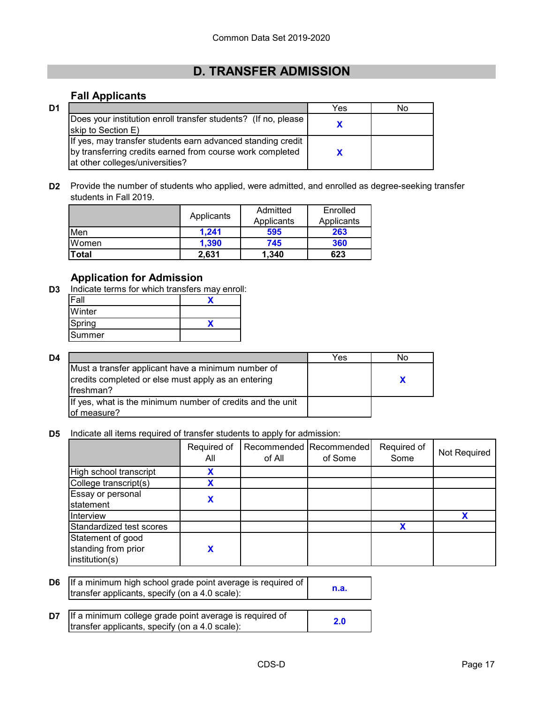### **D. TRANSFER ADMISSION**

### **Fall Applicants**

**D3**

| D1 |                                                                                                                                                             | Yes | No |
|----|-------------------------------------------------------------------------------------------------------------------------------------------------------------|-----|----|
|    | Does your institution enroll transfer students? (If no, please<br>skip to Section E)                                                                        |     |    |
|    | If yes, may transfer students earn advanced standing credit<br>by transferring credits earned from course work completed<br>at other colleges/universities? |     |    |

**D2** Provide the number of students who applied, were admitted, and enrolled as degree-seeking transfer students in Fall 2019.

|       | Applicants | Admitted<br>Applicants | Enrolled<br>Applicants |
|-------|------------|------------------------|------------------------|
| Men   | 1,241      | 595                    | 263                    |
| Women | 1,390      | 745                    | 360                    |
| Total | 2,631      | 1,340                  | 623                    |

### **Application for Admission**

| -all   |  |
|--------|--|
| Winter |  |
| Spring |  |
| Summer |  |

| D4 |                                                                                                                         | Yes | No |
|----|-------------------------------------------------------------------------------------------------------------------------|-----|----|
|    | Must a transfer applicant have a minimum number of<br>credits completed or else must apply as an entering<br>lfreshman? |     |    |
|    | If yes, what is the minimum number of credits and the unit<br>of measure?                                               |     |    |

#### **D5** Indicate all items required of transfer students to apply for admission:

|                                                            | Required of<br>All | of All | Recommended Recommended<br>of Some | Required of<br>Some | Not Required |
|------------------------------------------------------------|--------------------|--------|------------------------------------|---------------------|--------------|
| High school transcript                                     | x                  |        |                                    |                     |              |
| College transcript(s)                                      |                    |        |                                    |                     |              |
| Essay or personal<br>statement                             | X                  |        |                                    |                     |              |
| Interview                                                  |                    |        |                                    |                     |              |
| Standardized test scores                                   |                    |        |                                    |                     |              |
| Statement of good<br>standing from prior<br>institution(s) |                    |        |                                    |                     |              |

| <b>D6</b> If a minimum high school grade point average is required of<br>transfer applicants, specify (on a 4.0 scale): | n.a. |
|-------------------------------------------------------------------------------------------------------------------------|------|
|                                                                                                                         |      |

| <b>D7</b> If a minimum college grade point average is required of | 2.0 |
|-------------------------------------------------------------------|-----|
| transfer applicants, specify (on a 4.0 scale):                    |     |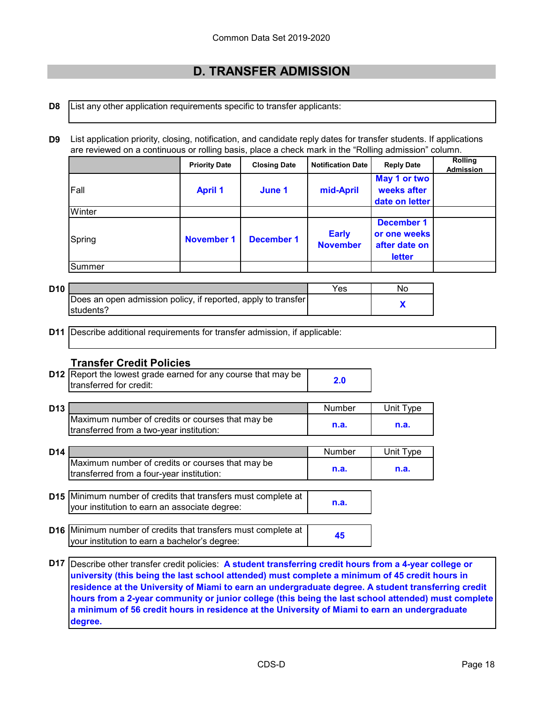### **D. TRANSFER ADMISSION**

- **D8** List any other application requirements specific to transfer applicants:
- **D9** List application priority, closing, notification, and candidate reply dates for transfer students. If applications are reviewed on a continuous or rolling basis, place a check mark in the "Rolling admission" column.

|        | <b>Priority Date</b> | <b>Closing Date</b> | <b>Notification Date</b>        | <b>Reply Date</b>                                            | <b>Rolling</b><br><b>Admission</b> |
|--------|----------------------|---------------------|---------------------------------|--------------------------------------------------------------|------------------------------------|
| Fall   | <b>April 1</b>       | June 1              | mid-April                       | May 1 or two<br>weeks after<br>date on letter                |                                    |
| Winter |                      |                     |                                 |                                                              |                                    |
| Spring | <b>November 1</b>    | <b>December 1</b>   | <b>Early</b><br><b>November</b> | <b>December 1</b><br>or one weeks<br>after date on<br>letter |                                    |
| Summer |                      |                     |                                 |                                                              |                                    |

| D10 |                                                               | Yes | Nc |
|-----|---------------------------------------------------------------|-----|----|
|     | Does an open admission policy, if reported, apply to transfer |     |    |
|     | Istudents?                                                    |     |    |

**D11** Describe additional requirements for transfer admission, if applicable:

#### **Transfer Credit Policies**

**D12** Report the lowest grade earned for any course that may be **2.0**<br> **Example:** transferred for credit:

| D13 |                                                          | Number | $\top$ vpe $\top$<br>Jnit |
|-----|----------------------------------------------------------|--------|---------------------------|
|     | <b>IMaximum number of credits or courses that may be</b> |        |                           |
|     | transferred from a two-year institution:                 | n.a.   | n.a.                      |

| D <sub>14</sub>                                                                               | Number | I vpe<br>Jnit |
|-----------------------------------------------------------------------------------------------|--------|---------------|
| Maximum number of credits or courses that may be<br>transferred from a four-year institution: | n.a.   | n.a.          |

**D15** Minimum number of credits that transfers must complete at **n.a.** your institution to earn an associate degree:

- **D16** Minimum number of credits that transfers must complete at **45** your institution to earn a bachelor's degree:
- **D17** Describe other transfer credit policies: **A student transferring credit hours from a 4-year college or university (this being the last school attended) must complete a minimum of 45 credit hours in residence at the University of Miami to earn an undergraduate degree. A student transferring credit hours from a 2-year community or junior college (this being the last school attended) must complete a minimum of 56 credit hours in residence at the University of Miami to earn an undergraduate degree.**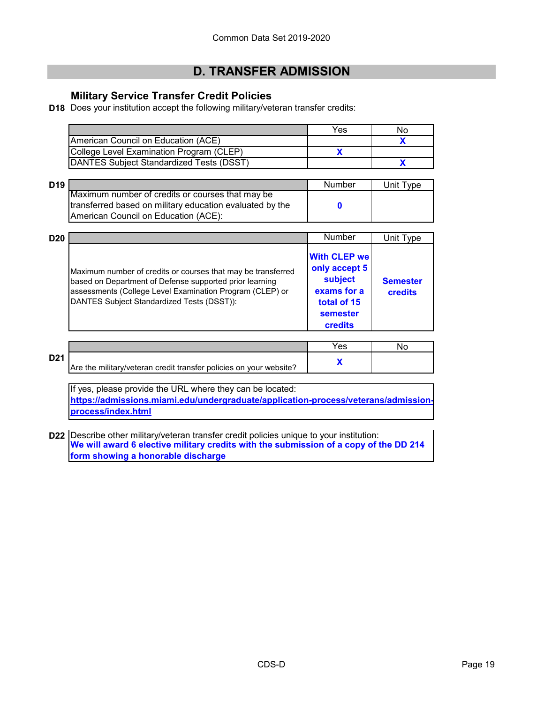### **D. TRANSFER ADMISSION**

### **Military Service Transfer Credit Policies**

**D18** Does your institution accept the following military/veteran transfer credits:

|                                                  | Yes | No |
|--------------------------------------------------|-----|----|
| American Council on Education (ACE)              |     |    |
| College Level Examination Program (CLEP)         |     |    |
| <b>IDANTES Subject Standardized Tests (DSST)</b> |     |    |

| D <sub>19</sub> |                                                          | Number | Unit Type |
|-----------------|----------------------------------------------------------|--------|-----------|
|                 | Maximum number of credits or courses that may be         |        |           |
|                 | transferred based on military education evaluated by the |        |           |
|                 | American Council on Education (ACE):                     |        |           |

| <b>D20</b> |                                                                                                                                                                                                                                   | Number                                                                                               | Unit Type                         |
|------------|-----------------------------------------------------------------------------------------------------------------------------------------------------------------------------------------------------------------------------------|------------------------------------------------------------------------------------------------------|-----------------------------------|
|            | Maximum number of credits or courses that may be transferred<br>based on Department of Defense supported prior learning<br>assessments (College Level Examination Program (CLEP) or<br>DANTES Subject Standardized Tests (DSST)): | <b>With CLEP we</b><br>only accept 5<br>subject<br>exams for a<br>total of 15<br>semester<br>credits | <b>Semester</b><br><b>credits</b> |

|     |                                                                    | Yes |  |
|-----|--------------------------------------------------------------------|-----|--|
| D21 | Are the military/veteran credit transfer policies on your website? |     |  |
|     |                                                                    |     |  |

If yes, please provide the URL where they can be located: **[https://admissions.miami.edu/undergraduate/application-process/veterans/admission](https://admissions.miami.edu/undergraduate/application-process/veterans/admission-process/index.html)[process/index.html](https://admissions.miami.edu/undergraduate/application-process/veterans/admission-process/index.html)**

**D22** Describe other military/veteran transfer credit policies unique to your institution: **We will award 6 elective military credits with the submission of a copy of the DD 214 form showing a honorable discharge**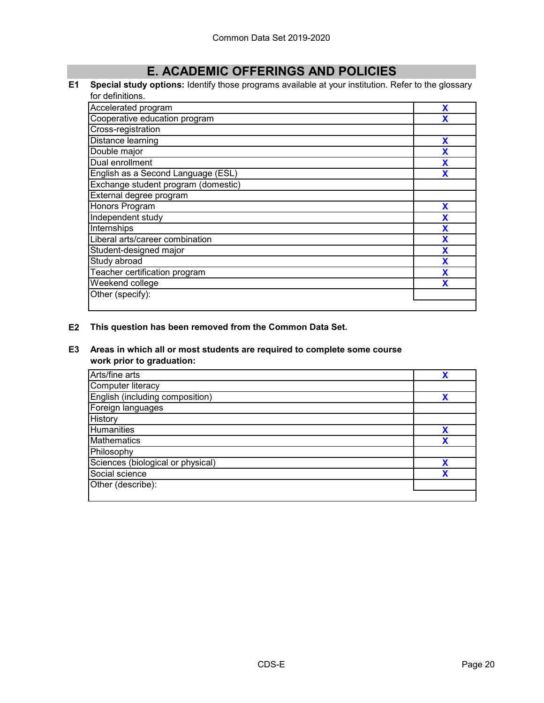### **E. ACADEMIC OFFERINGS AND POLICIES**

#### **E1 Special study options:** Identify those programs available at your institution. Refer to the glossary for definitions.

| Accelerated program                 | χ |
|-------------------------------------|---|
| Cooperative education program       | χ |
| Cross-registration                  |   |
| Distance learning                   | X |
| Double major                        | X |
| Dual enrollment                     | X |
| English as a Second Language (ESL)  | X |
| Exchange student program (domestic) |   |
| External degree program             |   |
| Honors Program                      | X |
| Independent study                   | X |
| Internships                         | X |
| Liberal arts/career combination     | X |
| Student-designed major              | X |
| Study abroad                        | X |
| Teacher certification program       | X |
| Weekend college                     | Х |
| Other (specify):                    |   |
|                                     |   |

#### **E2 This question has been removed from the Common Data Set.**

#### **E3 Areas in which all or most students are required to complete some course work prior to graduation:**

| Arts/fine arts                    | v |
|-----------------------------------|---|
| Computer literacy                 |   |
| English (including composition)   |   |
| Foreign languages                 |   |
| History                           |   |
| <b>Humanities</b>                 | v |
| <b>Mathematics</b>                |   |
| Philosophy                        |   |
| Sciences (biological or physical) | v |
| Social science                    |   |
| Other (describe):                 |   |
|                                   |   |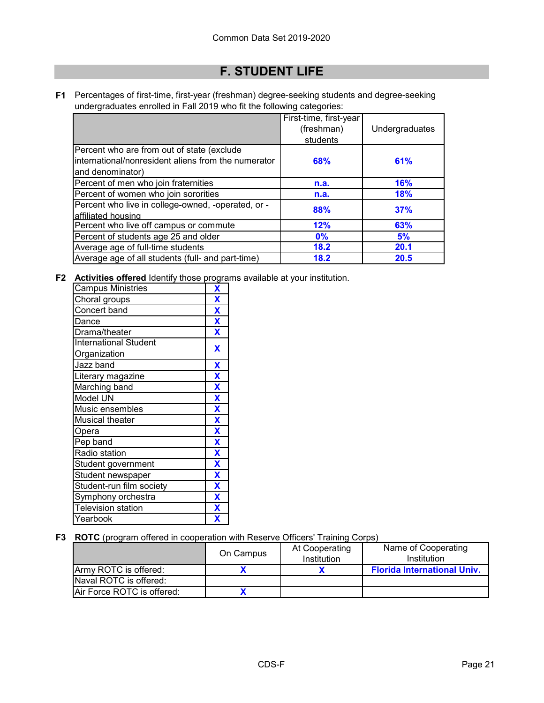### **F. STUDENT LIFE**

**F1** Percentages of first-time, first-year (freshman) degree-seeking students and degree-seeking undergraduates enrolled in Fall 2019 who fit the following categories:

|                                                     | First-time, first-year |                |
|-----------------------------------------------------|------------------------|----------------|
|                                                     | (freshman)             | Undergraduates |
|                                                     | students               |                |
| Percent who are from out of state (exclude          |                        |                |
| international/nonresident aliens from the numerator | 68%                    | 61%            |
| and denominator)                                    |                        |                |
| Percent of men who join fraternities                | n.a.                   | <b>16%</b>     |
| Percent of women who join sororities                | n.a.                   | <b>18%</b>     |
| Percent who live in college-owned, -operated, or -  | 88%                    | 37%            |
| affiliated housing                                  |                        |                |
| Percent who live off campus or commute              | 12%                    | 63%            |
| Percent of students age 25 and older                | $0\%$                  | 5%             |
| Average age of full-time students                   | 18.2                   | 20.1           |
| Average age of all students (full- and part-time)   | 18.2                   | 20.5           |

**F2 Activities offered** Identify those programs available at your institution.

| <b>Campus Ministries</b>     | X                       |
|------------------------------|-------------------------|
| Choral groups                | X                       |
| Concert band                 | X                       |
| Dance                        | $\mathbf x$             |
| Drama/theater                | X                       |
| <b>International Student</b> | X                       |
| Organization                 |                         |
| Jazz band                    | $\overline{\mathbf{X}}$ |
| Literary magazine            | $\overline{\mathbf{X}}$ |
| Marching band                | X                       |
| Model UN                     | X                       |
| Music ensembles              | $\overline{\mathbf{X}}$ |
| <b>Musical theater</b>       | X                       |
| Opera                        | X                       |
| Pep band                     | $\overline{\mathbf{X}}$ |
| Radio station                | X                       |
| Student government           | X                       |
| Student newspaper            | $\overline{\mathbf{X}}$ |
| Student-run film society     | $\overline{\mathbf{X}}$ |
| Symphony orchestra           | $\overline{\textbf{X}}$ |
| <b>Television station</b>    | $\overline{\mathbf{X}}$ |
| Yearbook                     | $\overline{\mathbf{X}}$ |

#### **F3 ROTC** (program offered in cooperation with Reserve Officers' Training Corps)

|                            | On Campus | At Cooperating<br>Institution | Name of Cooperating<br>Institution |
|----------------------------|-----------|-------------------------------|------------------------------------|
| Army ROTC is offered:      |           |                               | <b>Florida International Univ.</b> |
| Naval ROTC is offered:     |           |                               |                                    |
| Air Force ROTC is offered: |           |                               |                                    |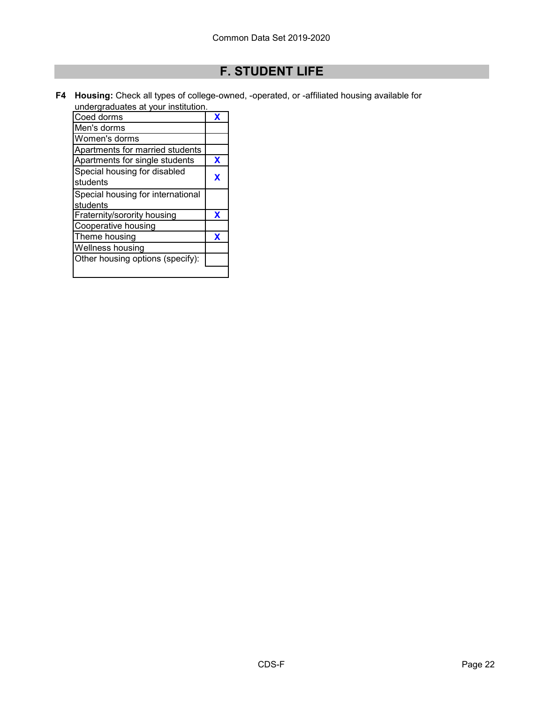## **F. STUDENT LIFE**

**F4 Housing:** Check all types of college-owned, -operated, or -affiliated housing available for undergraduates at your institution.

| Coed dorms                        | x |
|-----------------------------------|---|
| Men's dorms                       |   |
| Women's dorms                     |   |
| Apartments for married students   |   |
| Apartments for single students    | X |
| Special housing for disabled      | x |
| students                          |   |
| Special housing for international |   |
| students                          |   |
| Fraternity/sorority housing       | X |
| Cooperative housing               |   |
| Theme housing                     | X |
| Wellness housing                  |   |
| Other housing options (specify):  |   |
|                                   |   |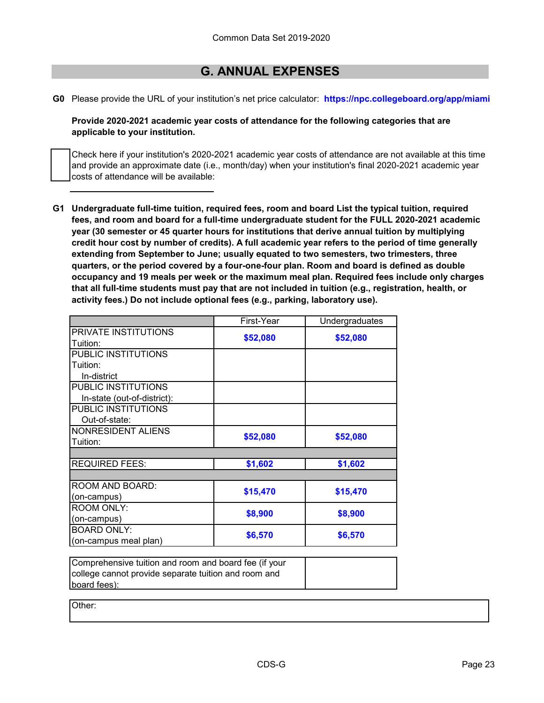### **G. ANNUAL EXPENSES**

**G0** Please provide the URL of your institution's net price calculator: **https://npc.collegeboard.org/app/miami**

**Provide 2020-2021 academic year costs of attendance for the following categories that are applicable to your institution.**

Check here if your institution's 2020-2021 academic year costs of attendance are not available at this time and provide an approximate date (i.e., month/day) when your institution's final 2020-2021 academic year costs of attendance will be available:

**G1 Undergraduate full-time tuition, required fees, room and board List the typical tuition, required fees, and room and board for a full-time undergraduate student for the FULL 2020-2021 academic year (30 semester or 45 quarter hours for institutions that derive annual tuition by multiplying credit hour cost by number of credits). A full academic year refers to the period of time generally extending from September to June; usually equated to two semesters, two trimesters, three quarters, or the period covered by a four-one-four plan. Room and board is defined as double occupancy and 19 meals per week or the maximum meal plan. Required fees include only charges that all full-time students must pay that are not included in tuition (e.g., registration, health, or activity fees.) Do not include optional fees (e.g., parking, laboratory use).**

|                                         | First-Year | Undergraduates |
|-----------------------------------------|------------|----------------|
| <b>PRIVATE INSTITUTIONS</b><br>Tuition: | \$52,080   | \$52,080       |
| PUBLIC INSTITUTIONS                     |            |                |
| Tuition:                                |            |                |
| In-district                             |            |                |
| PUBLIC INSTITUTIONS                     |            |                |
| In-state (out-of-district):             |            |                |
| PUBLIC INSTITUTIONS                     |            |                |
| Out-of-state:                           |            |                |
| NONRESIDENT ALIENS                      | \$52,080   | \$52,080       |
| Tuition:                                |            |                |
|                                         |            |                |
| <b>REQUIRED FEES:</b>                   | \$1,602    | \$1,602        |
|                                         |            |                |
| ROOM AND BOARD:                         | \$15,470   | \$15,470       |
| (on-campus)                             |            |                |
| <b>ROOM ONLY:</b>                       | \$8,900    | \$8,900        |
| (on-campus)                             |            |                |
| <b>BOARD ONLY:</b>                      | \$6,570    | \$6,570        |
| (on-campus meal plan)                   |            |                |

Comprehensive tuition and room and board fee (if your college cannot provide separate tuition and room and board fees):

Other: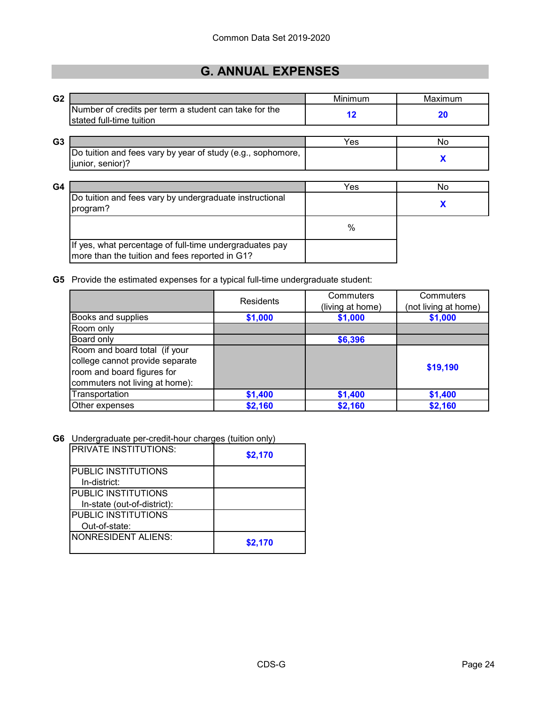## **G. ANNUAL EXPENSES**

| G <sub>2</sub> |                                                                                                           | Minimum | Maximum |
|----------------|-----------------------------------------------------------------------------------------------------------|---------|---------|
|                | Number of credits per term a student can take for the<br>stated full-time tuition                         | $12 \,$ | 20      |
| G <sub>3</sub> |                                                                                                           | Yes     | No      |
|                | Do tuition and fees vary by year of study (e.g., sophomore,<br>junior, senior)?                           |         | X       |
| G4             |                                                                                                           | Yes     | No      |
|                | Do tuition and fees vary by undergraduate instructional<br>program?                                       |         | X       |
|                |                                                                                                           | $\%$    |         |
|                | If yes, what percentage of full-time undergraduates pay<br>more than the tuition and fees reported in G1? |         |         |

**G5** Provide the estimated expenses for a typical full-time undergraduate student:

|                                 | <b>Residents</b> | Commuters        | Commuters            |  |
|---------------------------------|------------------|------------------|----------------------|--|
|                                 |                  | (living at home) | (not living at home) |  |
| Books and supplies              | \$1,000          | \$1,000          | \$1,000              |  |
| Room only                       |                  |                  |                      |  |
| Board only                      |                  | \$6,396          |                      |  |
| Room and board total (if your   |                  |                  |                      |  |
| college cannot provide separate |                  |                  |                      |  |
| room and board figures for      |                  |                  | \$19,190             |  |
| commuters not living at home):  |                  |                  |                      |  |
| Transportation                  | \$1,400          | \$1,400          | \$1,400              |  |
| Other expenses                  | \$2,160          | \$2,160          | \$2,160              |  |

**G6** Undergraduate per-credit-hour charges (tuition only)

| <b>PRIVATE INSTITUTIONS:</b> | \$2,170 |  |
|------------------------------|---------|--|
| <b>PUBLIC INSTITUTIONS</b>   |         |  |
| In-district:                 |         |  |
| PUBLIC INSTITUTIONS          |         |  |
| In-state (out-of-district):  |         |  |
| <b>PUBLIC INSTITUTIONS</b>   |         |  |
| Out-of-state:                |         |  |
| <b>NONRESIDENT ALIENS:</b>   | \$2,170 |  |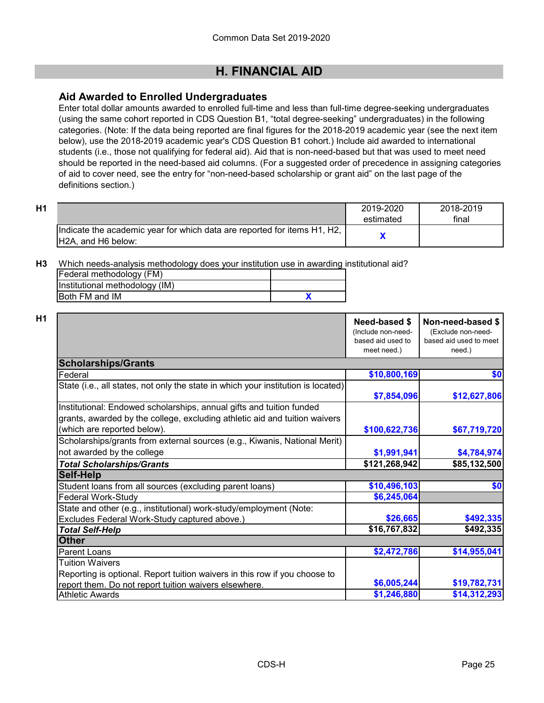#### **Aid Awarded to Enrolled Undergraduates**

Enter total dollar amounts awarded to enrolled full-time and less than full-time degree-seeking undergraduates (using the same cohort reported in CDS Question B1, "total degree-seeking" undergraduates) in the following categories. (Note: If the data being reported are final figures for the 2018-2019 academic year (see the next item below), use the 2018-2019 academic year's CDS Question B1 cohort.) Include aid awarded to international students (i.e., those not qualifying for federal aid). Aid that is non-need-based but that was used to meet need should be reported in the need-based aid columns. (For a suggested order of precedence in assigning categories of aid to cover need, see the entry for "non-need-based scholarship or grant aid" on the last page of the definitions section.)

| H1 |                                                                                                 | 2019-2020<br>estimated | 2018-2019<br>final |
|----|-------------------------------------------------------------------------------------------------|------------------------|--------------------|
|    | Indicate the academic year for which data are reported for items H1, H2,<br>IH2A, and H6 below: |                        |                    |

**H3** Which needs-analysis methodology does your institution use in awarding institutional aid?

| [Federal methodology (FM)      |  |
|--------------------------------|--|
| Institutional methodology (IM) |  |
| <b>IBoth FM and IM</b>         |  |

|                                                                                                           | Need-based \$<br>(Include non-need-<br>based aid used to<br>meet need.) | Non-need-based \$<br>(Exclude non-need-<br>based aid used to meet<br>need.) |
|-----------------------------------------------------------------------------------------------------------|-------------------------------------------------------------------------|-----------------------------------------------------------------------------|
| <b>Scholarships/Grants</b>                                                                                |                                                                         |                                                                             |
| Federal                                                                                                   | \$10,800,169                                                            | \$0                                                                         |
| State (i.e., all states, not only the state in which your institution is located)                         | \$7,854,096                                                             | \$12,627,806                                                                |
| Institutional: Endowed scholarships, annual gifts and tuition funded                                      |                                                                         |                                                                             |
| grants, awarded by the college, excluding athletic aid and tuition waivers<br>(which are reported below). | \$100,622,736                                                           | \$67,719,720                                                                |
| Scholarships/grants from external sources (e.g., Kiwanis, National Merit)                                 |                                                                         |                                                                             |
| not awarded by the college                                                                                | \$1,991,941                                                             | \$4,784,974                                                                 |
| <b>Total Scholarships/Grants</b>                                                                          | \$121,268,942                                                           | \$85,132,500                                                                |
| <b>Self-Help</b>                                                                                          |                                                                         |                                                                             |
| Student loans from all sources (excluding parent loans)                                                   | \$10,496,103                                                            | \$0                                                                         |
| Federal Work-Study                                                                                        | \$6,245,064                                                             |                                                                             |
| State and other (e.g., institutional) work-study/employment (Note:                                        |                                                                         |                                                                             |
| Excludes Federal Work-Study captured above.)                                                              | \$26,665                                                                | \$492,335                                                                   |
| <b>Total Self-Help</b>                                                                                    | \$16,767,832                                                            | \$492,335                                                                   |
| <b>Other</b>                                                                                              |                                                                         |                                                                             |
| <b>Parent Loans</b>                                                                                       | \$2,472,786                                                             | \$14,955,041                                                                |
| <b>Tuition Waivers</b><br>Reporting is optional. Report tuition waivers in this row if you choose to      |                                                                         |                                                                             |
| report them. Do not report tuition waivers elsewhere.                                                     | \$6,005,244                                                             | \$19,782,731                                                                |
| <b>Athletic Awards</b>                                                                                    | \$1,246,880                                                             | \$14,312,293                                                                |
|                                                                                                           |                                                                         |                                                                             |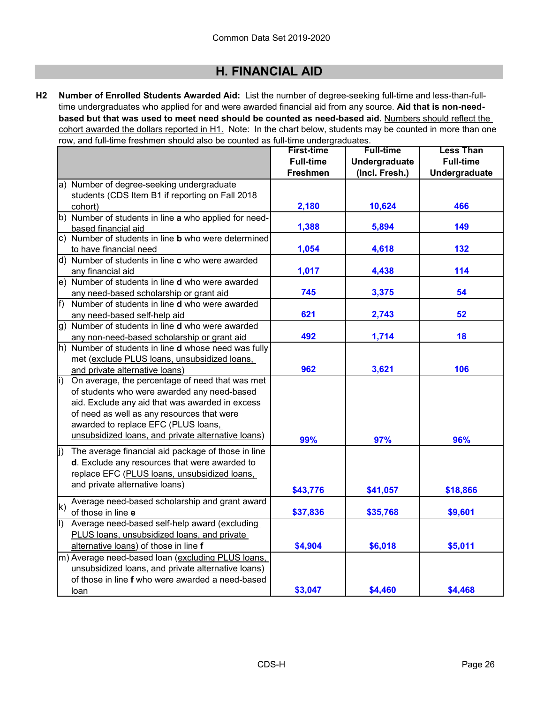**H2 Number of Enrolled Students Awarded Aid:** List the number of degree-seeking full-time and less-than-fulltime undergraduates who applied for and were awarded financial aid from any source. **Aid that is non-needbased but that was used to meet need should be counted as need-based aid.** Numbers should reflect the cohort awarded the dollars reported in H1. Note: In the chart below, students may be counted in more than one row, and full-time freshmen should also be counted as full-time undergraduates.

|                                                                | <b>First-time</b> | <b>Full-time</b> | <b>Less Than</b> |
|----------------------------------------------------------------|-------------------|------------------|------------------|
|                                                                | <b>Full-time</b>  | Undergraduate    | <b>Full-time</b> |
|                                                                | <b>Freshmen</b>   | (Incl. Fresh.)   | Undergraduate    |
| a) Number of degree-seeking undergraduate                      |                   |                  |                  |
| students (CDS Item B1 if reporting on Fall 2018                |                   |                  |                  |
| cohort)                                                        | 2,180             | 10,624           | 466              |
| b) Number of students in line a who applied for need-          |                   |                  |                  |
| based financial aid                                            | 1,388             | 5,894            | 149              |
| c) Number of students in line <b>b</b> who were determined     |                   |                  |                  |
| to have financial need                                         | 1,054             | 4,618            | 132              |
| d) Number of students in line c who were awarded               |                   |                  |                  |
| any financial aid                                              | 1,017             | 4,438            | 114              |
| e) Number of students in line <b>d</b> who were awarded        |                   |                  |                  |
| any need-based scholarship or grant aid                        | 745               | 3,375            | 54               |
| f)<br>Number of students in line <b>d</b> who were awarded     |                   |                  |                  |
| any need-based self-help aid                                   | 621               | 2,743            | 52               |
| g) Number of students in line <b>d</b> who were awarded        |                   |                  |                  |
| any non-need-based scholarship or grant aid                    | 492               | 1,714            | 18               |
| h) Number of students in line <b>d</b> whose need was fully    |                   |                  |                  |
| met (exclude PLUS loans, unsubsidized loans,                   |                   |                  |                  |
| and private alternative loans)                                 | 962               | 3,621            | 106              |
| On average, the percentage of need that was met<br>li)         |                   |                  |                  |
| of students who were awarded any need-based                    |                   |                  |                  |
| aid. Exclude any aid that was awarded in excess                |                   |                  |                  |
| of need as well as any resources that were                     |                   |                  |                  |
| awarded to replace EFC (PLUS loans,                            |                   |                  |                  |
| unsubsidized loans, and private alternative loans)             | 99%               | 97%              | 96%              |
| The average financial aid package of those in line<br>lj)      |                   |                  |                  |
| d. Exclude any resources that were awarded to                  |                   |                  |                  |
| replace EFC (PLUS loans, unsubsidized loans,                   |                   |                  |                  |
| and private alternative loans)                                 |                   |                  |                  |
|                                                                | \$43,776          | \$41,057         | \$18,866         |
| Average need-based scholarship and grant award<br>$\mathsf{k}$ |                   |                  |                  |
| of those in line e                                             | \$37,836          | \$35,768         | \$9,601          |
| Average need-based self-help award (excluding<br>$ 1\rangle$   |                   |                  |                  |
| PLUS loans, unsubsidized loans, and private                    |                   |                  |                  |
| alternative loans) of those in line f                          | \$4,904           | \$6,018          | \$5,011          |
| m) Average need-based loan (excluding PLUS loans,              |                   |                  |                  |
| unsubsidized loans, and private alternative loans)             |                   |                  |                  |
| of those in line f who were awarded a need-based               |                   |                  |                  |
| loan                                                           | \$3,047           | \$4,460          | \$4,468          |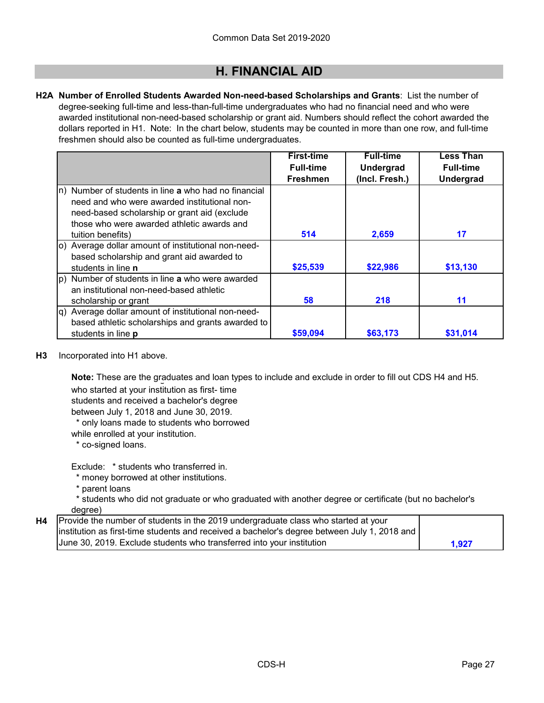**H2A Number of Enrolled Students Awarded Non-need-based Scholarships and Grants**: List the number of degree-seeking full-time and less-than-full-time undergraduates who had no financial need and who were awarded institutional non-need-based scholarship or grant aid. Numbers should reflect the cohort awarded the dollars reported in H1. Note: In the chart below, students may be counted in more than one row, and full-time freshmen should also be counted as full-time undergraduates.

|                                                                  | <b>First-time</b> | <b>Full-time</b> | <b>Less Than</b> |
|------------------------------------------------------------------|-------------------|------------------|------------------|
|                                                                  | <b>Full-time</b>  | <b>Undergrad</b> | <b>Full-time</b> |
|                                                                  | <b>Freshmen</b>   | (Incl. Fresh.)   | <b>Undergrad</b> |
| (n) Number of students in line a who had no financial            |                   |                  |                  |
| need and who were awarded institutional non-                     |                   |                  |                  |
| need-based scholarship or grant aid (exclude                     |                   |                  |                  |
| those who were awarded athletic awards and                       |                   |                  |                  |
| tuition benefits)                                                | 514               | 2,659            | 17               |
| (o) Average dollar amount of institutional non-need-             |                   |                  |                  |
| based scholarship and grant aid awarded to                       |                   |                  |                  |
| students in line <b>n</b>                                        | \$25,539          | \$22,986         | \$13,130         |
| $ p\rangle$ Number of students in line <b>a</b> who were awarded |                   |                  |                  |
| an institutional non-need-based athletic                         |                   |                  |                  |
| scholarship or grant                                             | 58                | 218              | 11               |
| q) Average dollar amount of institutional non-need-              |                   |                  |                  |
| based athletic scholarships and grants awarded to                |                   |                  |                  |
| students in line <b>p</b>                                        | \$59,094          | \$63,173         | \$31,014         |

**H3** Incorporated into H1 above.

**Note:** These are the graduates and loan types to include and exclude in order to fill out CDS H4 and H5.

who started at your institution as first- time

students and received a bachelor's degree

between July 1, 2018 and June 30, 2019.

\* only loans made to students who borrowed

while enrolled at your institution.

\* co-signed loans.

Exclude: \* students who transferred in.

\* money borrowed at other institutions.

- \* parent loans
- \* students who did not graduate or who graduated with another degree or certificate (but no bachelor's degree)

| H4   Provide the number of students in the 2019 undergraduate class who started at your      |       |
|----------------------------------------------------------------------------------------------|-------|
| institution as first-time students and received a bachelor's degree between July 1, 2018 and |       |
| June 30, 2019. Exclude students who transferred into your institution                        | 1.927 |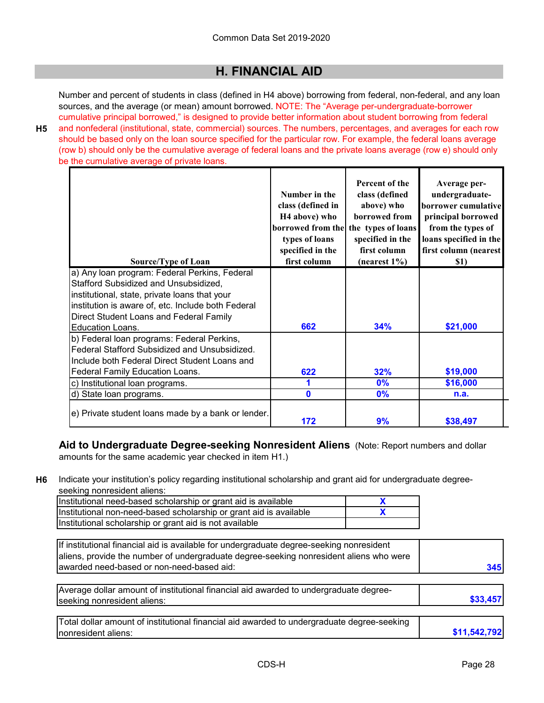Number and percent of students in class (defined in H4 above) borrowing from federal, non-federal, and any loan sources, and the average (or mean) amount borrowed. NOTE: The "Average per-undergraduate-borrower cumulative principal borrowed," is designed to provide better information about student borrowing from federal

**H5**

and nonfederal (institutional, state, commercial) sources. The numbers, percentages, and averages for each row should be based only on the loan source specified for the particular row. For example, the federal loans average (row b) should only be the cumulative average of federal loans and the private loans average (row e) should only be the cumulative average of private loans.

| Source/Type of Loan                                | Number in the<br>class (defined in<br>H <sub>4</sub> above) who<br>borrowed from the the types of loans<br>types of loans<br>specified in the<br>first column | Percent of the<br>class (defined<br>above) who<br>borrowed from<br>specified in the<br>first column<br>$(n \text{earest } 1\%)$ | Average per-<br>undergraduate-<br>borrower cumulative<br>principal borrowed<br>from the types of<br>loans specified in the<br>first column (nearest<br>\$1) |
|----------------------------------------------------|---------------------------------------------------------------------------------------------------------------------------------------------------------------|---------------------------------------------------------------------------------------------------------------------------------|-------------------------------------------------------------------------------------------------------------------------------------------------------------|
| a) Any loan program: Federal Perkins, Federal      |                                                                                                                                                               |                                                                                                                                 |                                                                                                                                                             |
| Stafford Subsidized and Unsubsidized,              |                                                                                                                                                               |                                                                                                                                 |                                                                                                                                                             |
| institutional, state, private loans that your      |                                                                                                                                                               |                                                                                                                                 |                                                                                                                                                             |
| institution is aware of, etc. Include both Federal |                                                                                                                                                               |                                                                                                                                 |                                                                                                                                                             |
| Direct Student Loans and Federal Family            |                                                                                                                                                               |                                                                                                                                 |                                                                                                                                                             |
| IEducation Loans.                                  | 662                                                                                                                                                           | 34%                                                                                                                             | \$21,000                                                                                                                                                    |
| b) Federal loan programs: Federal Perkins,         |                                                                                                                                                               |                                                                                                                                 |                                                                                                                                                             |
| Federal Stafford Subsidized and Unsubsidized.      |                                                                                                                                                               |                                                                                                                                 |                                                                                                                                                             |
| Include both Federal Direct Student Loans and      |                                                                                                                                                               |                                                                                                                                 |                                                                                                                                                             |
| Federal Family Education Loans.                    | 622                                                                                                                                                           | 32%                                                                                                                             | \$19,000                                                                                                                                                    |
| c) Institutional loan programs.                    |                                                                                                                                                               | 0%                                                                                                                              | \$16,000                                                                                                                                                    |
| d) State loan programs.                            | $\mathbf{0}$                                                                                                                                                  | 0%                                                                                                                              | n.a.                                                                                                                                                        |
| e) Private student loans made by a bank or lender. | 172                                                                                                                                                           | 9%                                                                                                                              | \$38,497                                                                                                                                                    |

**Aid to Undergraduate Degree-seeking Nonresident Aliens** (Note: Report numbers and dollar amounts for the same academic year checked in item H1.)

**H6** Indicate your institution's policy regarding institutional scholarship and grant aid for undergraduate degreeseeking nonresident aliens:

| Institutional need-based scholarship or grant aid is available     |  |
|--------------------------------------------------------------------|--|
| Institutional non-need-based scholarship or grant aid is available |  |
| Institutional scholarship or grant aid is not available            |  |

| If institutional financial aid is available for undergraduate degree-seeking nonresident |     |
|------------------------------------------------------------------------------------------|-----|
| aliens, provide the number of undergraduate degree-seeking nonresident aliens who were   |     |
| awarded need-based or non-need-based aid:                                                | 345 |

| Average dollar amount of institutional financial aid awarded to undergraduate degree- |  |
|---------------------------------------------------------------------------------------|--|
| seeking nonresident aliens:                                                           |  |
|                                                                                       |  |
|                                                                                       |  |

| Total dollar amount of institutional financial aid awarded to undergraduate degree-seeking |              |
|--------------------------------------------------------------------------------------------|--------------|
| Inonresident aliens:                                                                       | \$11,542,792 |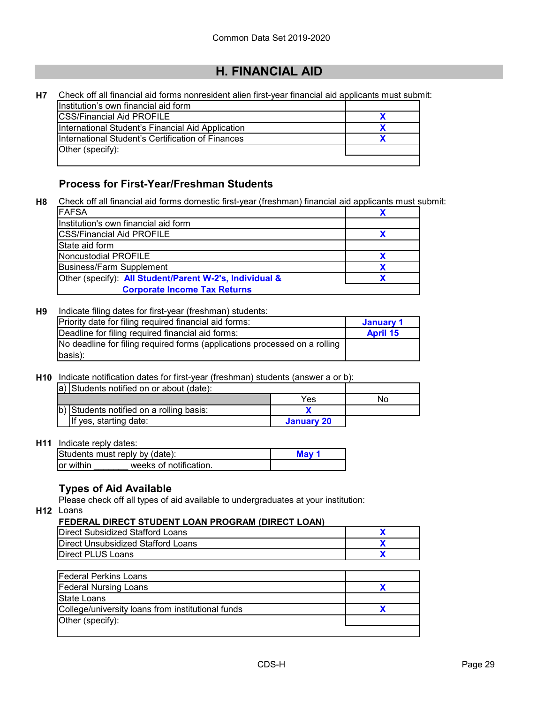**X**

| <b>H7</b> | Check off all financial aid forms nonresident alien first-year financial aid applicants must submit: |  |
|-----------|------------------------------------------------------------------------------------------------------|--|
|           | Ilnstitution's own financial aid form                                                                |  |
|           | <b>CSS/Financial Aid PROFILE</b>                                                                     |  |
|           | International Student's Financial Aid Application                                                    |  |

\pplication International Student's Certification of Finances Other (specify):

#### **Process for First-Year/Freshman Students**

**H8** Check off all financial aid forms domestic first-year (freshman) financial aid applicants must submit:

| <b>IFAFSA</b>                                           |  |
|---------------------------------------------------------|--|
| Institution's own financial aid form                    |  |
| <b>ICSS/Financial Aid PROFILE</b>                       |  |
| State aid form                                          |  |
| Noncustodial PROFILE                                    |  |
| <b>Business/Farm Supplement</b>                         |  |
| Other (specify): All Student/Parent W-2's, Individual & |  |
| <b>Corporate Income Tax Returns</b>                     |  |

#### **H9** Indicate filing dates for first-year (freshman) students:

| Priority date for filing required financial aid forms:                     | January 1       |
|----------------------------------------------------------------------------|-----------------|
| Deadline for filing required financial aid forms:                          | <b>April 15</b> |
| No deadline for filing required forms (applications processed on a rolling |                 |
| basis):                                                                    |                 |

**H10** Indicate notification dates for first-year (freshman) students (answer a or b):

| a) Students notified on or about (date): |            |    |
|------------------------------------------|------------|----|
|                                          | Yes        | NΟ |
| b) Students notified on a rolling basis: |            |    |
| If yes, starting date:                   | January 20 |    |

#### **H11** Indicate reply dates:

| Students must reply by (date):       | Mav |
|--------------------------------------|-----|
| weeks of notification.<br>lor within |     |

#### **Types of Aid Available**

Please check off all types of aid available to undergraduates at your institution:

**H12** Loans

#### **FEDERAL DIRECT STUDENT LOAN PROGRAM (DIRECT LOAN)**

| I EDERAE DIREVT OTODERT EVART ROOKAM (DIREVT EVAR) |  |  |  |
|----------------------------------------------------|--|--|--|
| Direct Subsidized Stafford Loans                   |  |  |  |
| Direct Unsubsidized Stafford Loans                 |  |  |  |
| <b>Direct PLUS Loans</b>                           |  |  |  |
|                                                    |  |  |  |
| <b>Federal Perkins Loans</b>                       |  |  |  |
| <b>Federal Nursing Loans</b>                       |  |  |  |
| State Loans                                        |  |  |  |
| College/university loans from institutional funds  |  |  |  |
| Other (specify):                                   |  |  |  |
|                                                    |  |  |  |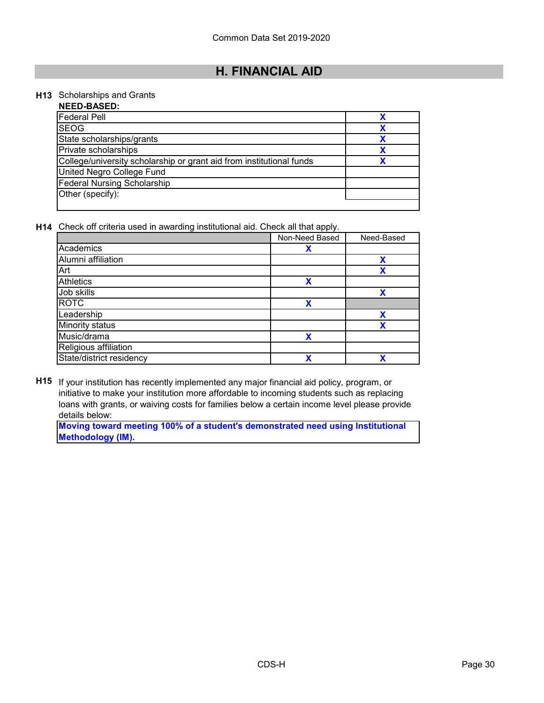#### **H13** Scholarships and Grants

| <b>NEED-BASED:</b>                                                   |  |
|----------------------------------------------------------------------|--|
| <b>Federal Pell</b>                                                  |  |
| <b>SEOG</b>                                                          |  |
| State scholarships/grants                                            |  |
| Private scholarships                                                 |  |
| College/university scholarship or grant aid from institutional funds |  |
| United Negro College Fund                                            |  |
| <b>Federal Nursing Scholarship</b>                                   |  |
| Other (specify):                                                     |  |
|                                                                      |  |

**H14** Check off criteria used in awarding institutional aid. Check all that apply.

|                          | Non-Need Based | Need-Based |
|--------------------------|----------------|------------|
| Academics                | Х              |            |
| Alumni affiliation       |                | X          |
| Art                      |                | χ          |
| Athletics                | X              |            |
| Job skills               |                | X          |
| <b>ROTC</b>              | χ              |            |
| Leadership               |                | X          |
| Minority status          |                | χ          |
| Music/drama              | χ              |            |
| Religious affiliation    |                |            |
| State/district residency | χ              | χ          |

**H15** If your institution has recently implemented any major financial aid policy, program, or initiative to make your institution more affordable to incoming students such as replacing loans with grants, or waiving costs for families below a certain income level please provide details below:

**Moving toward meeting 100% of a student's demonstrated need using Institutional Methodology (IM).**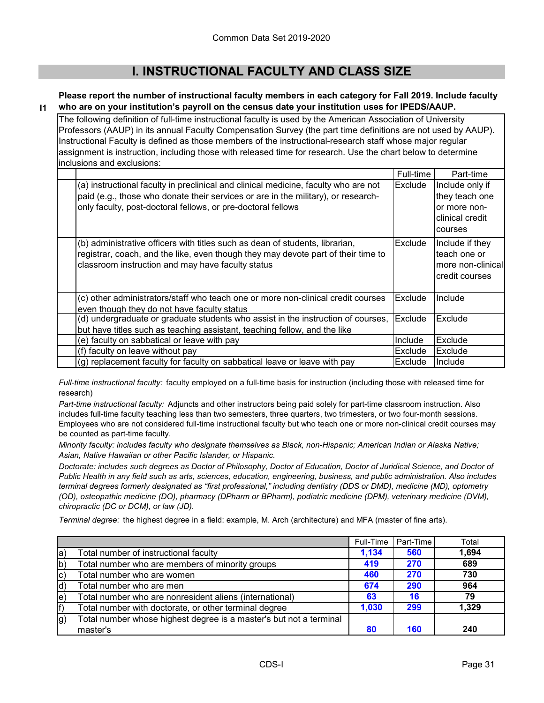### **I. INSTRUCTIONAL FACULTY AND CLASS SIZE**

#### **I1 Please report the number of instructional faculty members in each category for Fall 2019. Include faculty who are on your institution's payroll on the census date your institution uses for IPEDS/AAUP.**

The following definition of full-time instructional faculty is used by the American Association of University Professors (AAUP) in its annual Faculty Compensation Survey (the part time definitions are not used by AAUP). Instructional Faculty is defined as those members of the instructional-research staff whose major regular assignment is instruction, including those with released time for research. Use the chart below to determine inclusions and exclusions:

|                                                                                                                                                                                                                                          | Full-time | Part-time                                                                       |
|------------------------------------------------------------------------------------------------------------------------------------------------------------------------------------------------------------------------------------------|-----------|---------------------------------------------------------------------------------|
| (a) instructional faculty in preclinical and clinical medicine, faculty who are not<br>paid (e.g., those who donate their services or are in the military), or research-<br>only faculty, post-doctoral fellows, or pre-doctoral fellows | Exclude   | Include only if<br>they teach one<br>or more non-<br>clinical credit<br>courses |
| (b) administrative officers with titles such as dean of students, librarian,<br>registrar, coach, and the like, even though they may devote part of their time to<br>classroom instruction and may have faculty status                   | Exclude   | Include if they<br>teach one or<br>more non-clinical<br>credit courses          |
| (c) other administrators/staff who teach one or more non-clinical credit courses<br>even though they do not have faculty status                                                                                                          | Exclude   | Include                                                                         |
| (d) undergraduate or graduate students who assist in the instruction of courses,<br>but have titles such as teaching assistant, teaching fellow, and the like                                                                            | Exclude   | Exclude                                                                         |
| (e) faculty on sabbatical or leave with pay                                                                                                                                                                                              | Include   | Exclude                                                                         |
| (f) faculty on leave without pay                                                                                                                                                                                                         | Exclude   | Exclude                                                                         |
| (g) replacement faculty for faculty on sabbatical leave or leave with pay                                                                                                                                                                | Exclude   | Include                                                                         |

*Full-time instructional faculty:* faculty employed on a full-time basis for instruction (including those with released time for research)

*Part-time instructional faculty:* Adjuncts and other instructors being paid solely for part-time classroom instruction. Also includes full-time faculty teaching less than two semesters, three quarters, two trimesters, or two four-month sessions. Employees who are not considered full-time instructional faculty but who teach one or more non-clinical credit courses may be counted as part-time faculty.

*Minority faculty: includes faculty who designate themselves as Black, non-Hispanic; American Indian or Alaska Native; Asian, Native Hawaiian or other Pacific Islander, or Hispanic.* 

*Doctorate: includes such degrees as Doctor of Philosophy, Doctor of Education, Doctor of Juridical Science, and Doctor of Public Health in any field such as arts, sciences, education, engineering, business, and public administration. Also includes terminal degrees formerly designated as "first professional," including dentistry (DDS or DMD), medicine (MD), optometry (OD), osteopathic medicine (DO), pharmacy (DPharm or BPharm), podiatric medicine (DPM), veterinary medicine (DVM), chiropractic (DC or DCM), or law (JD).*

*Terminal degree:* the highest degree in a field: example, M. Arch (architecture) and MFA (master of fine arts).

|                   |                                                                    | Full-Time | Part-Time  | Total |
|-------------------|--------------------------------------------------------------------|-----------|------------|-------|
| la)               | Total number of instructional faculty                              | 1,134     | 560        | 1,694 |
| $ b\rangle$       | Total number who are members of minority groups                    | 419       | <b>270</b> | 689   |
| $ {\bf c}\rangle$ | Total number who are women                                         | 460       | <b>270</b> | 730   |
| ld)               | Total number who are men                                           | 674       | 290        | 964   |
| le)               | Total number who are nonresident aliens (international)            | 63        | 16         | 79    |
| f)                | Total number with doctorate, or other terminal degree              | 1,030     | 299        | 1,329 |
| $ g\rangle$       | Total number whose highest degree is a master's but not a terminal |           |            |       |
|                   | master's                                                           | 80        | 160        | 240   |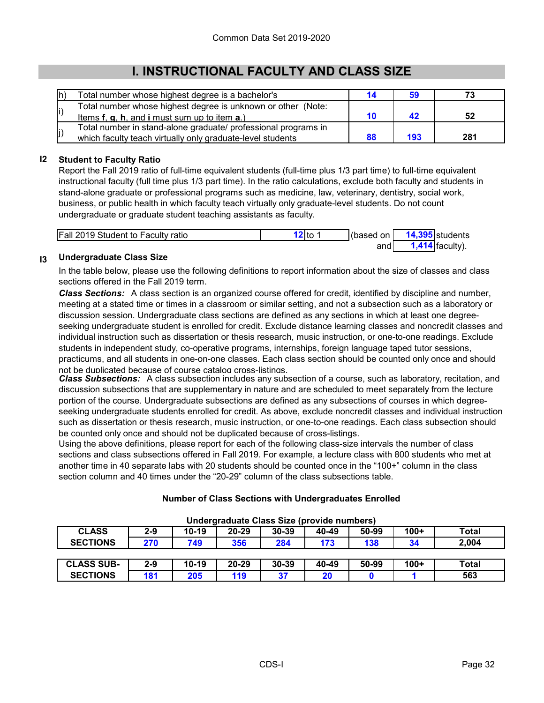### **I. INSTRUCTIONAL FACULTY AND CLASS SIZE**

| lh' | Total number whose highest degree is a bachelor's              | 14 |     |     |
|-----|----------------------------------------------------------------|----|-----|-----|
|     | Total number whose highest degree is unknown or other (Note:   |    |     |     |
| li) | Items $f, g, h$ , and i must sum up to item $a$ .)             | 10 |     | 52  |
|     | Total number in stand-alone graduate/ professional programs in |    |     |     |
| (j  | which faculty teach virtually only graduate-level students     | 88 | 193 | 281 |

#### **I2 Student to Faculty Ratio**

Report the Fall 2019 ratio of full-time equivalent students (full-time plus 1/3 part time) to full-time equivalent instructional faculty (full time plus 1/3 part time). In the ratio calculations, exclude both faculty and students in stand-alone graduate or professional programs such as medicine, law, veterinary, dentistry, social work, business, or public health in which faculty teach virtually only graduate-level students. Do not count undergraduate or graduate student teaching assistants as faculty.

| <b>Fall 2019 Student to Faculty ratio</b> | '2Ito | (based on | <b>14,395</b> students |
|-------------------------------------------|-------|-----------|------------------------|
|                                           |       | and       | <b>faculty</b>         |

#### **I3 Undergraduate Class Size**

**SECTIONS**

In the table below, please use the following definitions to report information about the size of classes and class sections offered in the Fall 2019 term.

*Class Sections:* A class section is an organized course offered for credit, identified by discipline and number, meeting at a stated time or times in a classroom or similar setting, and not a subsection such as a laboratory or discussion session. Undergraduate class sections are defined as any sections in which at least one degreeseeking undergraduate student is enrolled for credit. Exclude distance learning classes and noncredit classes and individual instruction such as dissertation or thesis research, music instruction, or one-to-one readings. Exclude students in independent study, co-operative programs, internships, foreign language taped tutor sessions, practicums, and all students in one-on-one classes. Each class section should be counted only once and should not be duplicated because of course catalog cross-listings.

*Class Subsections:* A class subsection includes any subsection of a course, such as laboratory, recitation, and discussion subsections that are supplementary in nature and are scheduled to meet separately from the lecture portion of the course. Undergraduate subsections are defined as any subsections of courses in which degreeseeking undergraduate students enrolled for credit. As above, exclude noncredit classes and individual instruction such as dissertation or thesis research, music instruction, or one-to-one readings. Each class subsection should be counted only once and should not be duplicated because of cross-listings.

Using the above definitions, please report for each of the following class-size intervals the number of class sections and class subsections offered in Fall 2019. For example, a lecture class with 800 students who met at another time in 40 separate labs with 20 students should be counted once in the "100+" column in the class section column and 40 times under the "20-29" column of the class subsections table.

| Undergraduate Class Size (provide numbers) |         |         |           |           |       |       |        |       |
|--------------------------------------------|---------|---------|-----------|-----------|-------|-------|--------|-------|
| <b>CLASS</b>                               | $2 - 9$ | $10-19$ | $20 - 29$ | $30 - 39$ | 40-49 | 50-99 | $100+$ | Total |
| <b>SECTIONS</b>                            | 270     | 749     | 356       | 284       | 173   | 138   | 34     | 2.004 |
|                                            |         |         |           |           |       |       |        |       |
| <b>CLASS SUB-</b>                          | $2 - 9$ | $10-19$ | 20-29     | 30-39     | 40-49 | 50-99 | $100+$ | Total |

**181 205 119 37 20 0 1 563**

# **Number of Class Sections with Undergraduates Enrolled**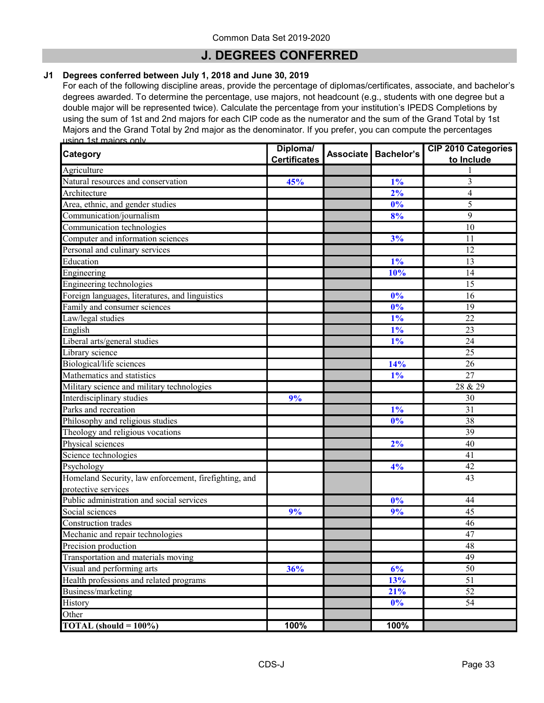### **J. DEGREES CONFERRED**

#### **J1 Degrees conferred between July 1, 2018 and June 30, 2019**

For each of the following discipline areas, provide the percentage of diplomas/certificates, associate, and bachelor's degrees awarded. To determine the percentage, use majors, not headcount (e.g., students with one degree but a double major will be represented twice). Calculate the percentage from your institution's IPEDS Completions by using the sum of 1st and 2nd majors for each CIP code as the numerator and the sum of the Grand Total by 1st Majors and the Grand Total by 2nd major as the denominator. If you prefer, you can compute the percentages using 1st majors only.

| Category                                              | Diploma/            | Associate Bachelor's | <b>CIP 2010 Categories</b> |
|-------------------------------------------------------|---------------------|----------------------|----------------------------|
|                                                       | <b>Certificates</b> |                      | to Include                 |
| Agriculture                                           |                     |                      |                            |
| Natural resources and conservation                    | 45%                 | 1%                   | 3                          |
| Architecture                                          |                     | 2%                   | $\overline{4}$             |
| Area, ethnic, and gender studies                      |                     | 0%                   | 5                          |
| Communication/journalism                              |                     | 8%                   | 9                          |
| Communication technologies                            |                     |                      | 10                         |
| Computer and information sciences                     |                     | 3%                   | 11                         |
| Personal and culinary services                        |                     |                      | 12                         |
| Education                                             |                     | $1\%$                | 13                         |
| Engineering                                           |                     | 10%                  | 14                         |
| Engineering technologies                              |                     |                      | 15                         |
| Foreign languages, literatures, and linguistics       |                     | 0%                   | 16                         |
| Family and consumer sciences                          |                     | 0%                   | 19                         |
| Law/legal studies                                     |                     | $1\%$                | 22                         |
| English                                               |                     | $1\%$                | 23                         |
| Liberal arts/general studies                          |                     | 1%                   | 24                         |
| Library science                                       |                     |                      | 25                         |
| Biological/life sciences                              |                     | 14%                  | 26                         |
| Mathematics and statistics                            |                     | $1\%$                | 27                         |
| Military science and military technologies            |                     |                      | 28 & 29                    |
| Interdisciplinary studies                             | 9%                  |                      | 30                         |
| Parks and recreation                                  |                     | $1\%$                | $\overline{31}$            |
| Philosophy and religious studies                      |                     | 0%                   | 38                         |
| Theology and religious vocations                      |                     |                      | 39                         |
| Physical sciences                                     |                     | 2%                   | 40                         |
| Science technologies                                  |                     |                      | 41                         |
| Psychology                                            |                     | 4%                   | 42                         |
| Homeland Security, law enforcement, firefighting, and |                     |                      | 43                         |
| protective services                                   |                     |                      |                            |
| Public administration and social services             |                     | $\overline{0\%}$     | 44                         |
| Social sciences                                       | 9%                  | 9%                   | 45                         |
| <b>Construction trades</b>                            |                     |                      | 46                         |
| Mechanic and repair technologies                      |                     |                      | 47                         |
| Precision production                                  |                     |                      | 48                         |
| Transportation and materials moving                   |                     |                      | 49                         |
| Visual and performing arts                            | 36%                 | 6%                   | 50                         |
| Health professions and related programs               |                     | 13%                  | 51                         |
| Business/marketing                                    |                     | 21%                  | $\overline{52}$            |
| History                                               |                     | 0%                   | 54                         |
| Other                                                 |                     |                      |                            |
| TOTAL (should $= 100\%$ )                             | 100%                | 100%                 |                            |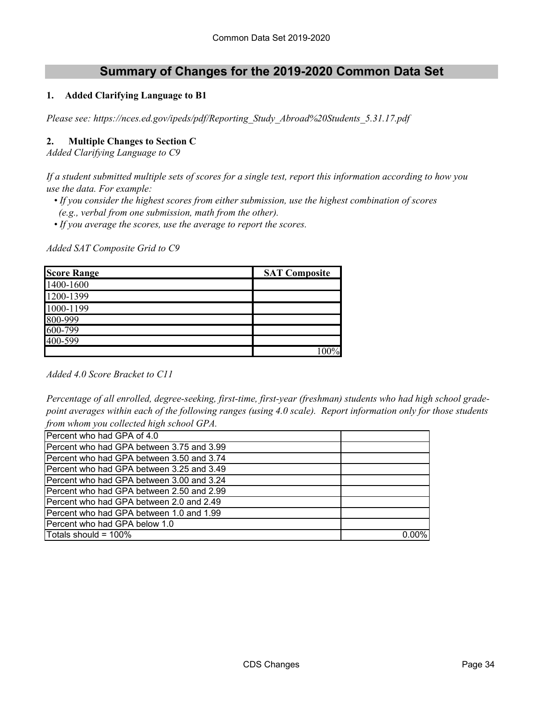### **Summary of Changes for the 2019-2020 Common Data Set**

#### **1. Added Clarifying Language to B1**

*Please see: https://nces.ed.gov/ipeds/pdf/Reporting\_Study\_Abroad%20Students\_5.31.17.pdf*

#### **2. Multiple Changes to Section C**

*Added Clarifying Language to C9*

*If a student submitted multiple sets of scores for a single test, report this information according to how you use the data. For example:* 

- *If you consider the highest scores from either submission, use the highest combination of scores (e.g., verbal from one submission, math from the other).*
- *If you average the scores, use the average to report the scores.*

*Added SAT Composite Grid to C9*

| <b>Score Range</b> | <b>SAT Composite</b> |
|--------------------|----------------------|
| 1400-1600          |                      |
| 1200-1399          |                      |
| 1000-1199          |                      |
| 800-999            |                      |
| 600-799            |                      |
| 400-599            |                      |
|                    |                      |

*Added 4.0 Score Bracket to C11*

*Percentage of all enrolled, degree-seeking, first-time, first-year (freshman) students who had high school gradepoint averages within each of the following ranges (using 4.0 scale). Report information only for those students from whom you collected high school GPA.*

| Percent who had GPA of 4.0                       |  |
|--------------------------------------------------|--|
| Percent who had GPA between 3.75 and 3.99        |  |
| IPercent who had GPA between 3.50 and 3.74       |  |
| <b>Percent who had GPA between 3.25 and 3.49</b> |  |
| Percent who had GPA between 3.00 and 3.24        |  |
| <b>Percent who had GPA between 2.50 and 2.99</b> |  |
| <b>Percent who had GPA between 2.0 and 2.49</b>  |  |
| Percent who had GPA between 1.0 and 1.99         |  |
| Percent who had GPA below 1.0                    |  |
| Totals should = $100\%$                          |  |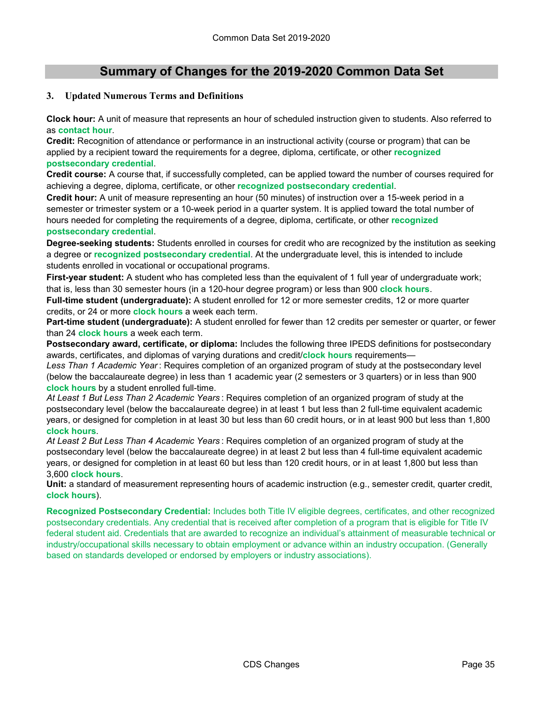### **Summary of Changes for the 2019-2020 Common Data Set**

#### **3. Updated Numerous Terms and Definitions**

**Clock hour:** A unit of measure that represents an hour of scheduled instruction given to students. Also referred to as **contact hour**.

**Credit:** Recognition of attendance or performance in an instructional activity (course or program) that can be applied by a recipient toward the requirements for a degree, diploma, certificate, or other **recognized postsecondary credential**.

**Credit course:** A course that, if successfully completed, can be applied toward the number of courses required for achieving a degree, diploma, certificate, or other **recognized postsecondary credential**.

**Credit hour:** A unit of measure representing an hour (50 minutes) of instruction over a 15-week period in a semester or trimester system or a 10-week period in a quarter system. It is applied toward the total number of hours needed for completing the requirements of a degree, diploma, certificate, or other **recognized postsecondary credential**.

**Degree-seeking students:** Students enrolled in courses for credit who are recognized by the institution as seeking a degree or **recognized postsecondary credential**. At the undergraduate level, this is intended to include students enrolled in vocational or occupational programs.

**First-year student:** A student who has completed less than the equivalent of 1 full year of undergraduate work; that is, less than 30 semester hours (in a 120-hour degree program) or less than 900 **clock hours**.

**Full-time student (undergraduate):** A student enrolled for 12 or more semester credits, 12 or more quarter credits, or 24 or more **clock hours** a week each term.

**Part-time student (undergraduate):** A student enrolled for fewer than 12 credits per semester or quarter, or fewer than 24 **clock hours** a week each term.

**Postsecondary award, certificate, or diploma:** Includes the following three IPEDS definitions for postsecondary awards, certificates, and diplomas of varying durations and credit/**clock hours** requirements—

*Less Than 1 Academic Year* : Requires completion of an organized program of study at the postsecondary level (below the baccalaureate degree) in less than 1 academic year (2 semesters or 3 quarters) or in less than 900 **clock hours** by a student enrolled full-time.

*At Least 1 But Less Than 2 Academic Years* : Requires completion of an organized program of study at the postsecondary level (below the baccalaureate degree) in at least 1 but less than 2 full-time equivalent academic years, or designed for completion in at least 30 but less than 60 credit hours, or in at least 900 but less than 1,800 **clock hours**.

*At Least 2 But Less Than 4 Academic Years* : Requires completion of an organized program of study at the postsecondary level (below the baccalaureate degree) in at least 2 but less than 4 full-time equivalent academic years, or designed for completion in at least 60 but less than 120 credit hours, or in at least 1,800 but less than 3,600 **clock hours**.

**Unit:** a standard of measurement representing hours of academic instruction (e.g., semester credit, quarter credit, **clock hours**).

**Recognized Postsecondary Credential:** Includes both Title IV eligible degrees, certificates, and other recognized postsecondary credentials. Any credential that is received after completion of a program that is eligible for Title IV federal student aid. Credentials that are awarded to recognize an individual's attainment of measurable technical or industry/occupational skills necessary to obtain employment or advance within an industry occupation. (Generally based on standards developed or endorsed by employers or industry associations).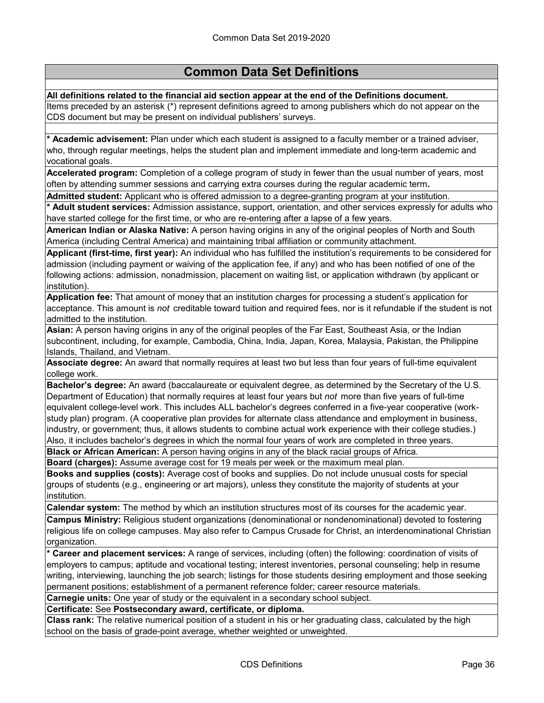**All definitions related to the financial aid section appear at the end of the Definitions document.** Items preceded by an asterisk (\*) represent definitions agreed to among publishers which do not appear on the CDS document but may be present on individual publishers' surveys.

**\* Academic advisement:** Plan under which each student is assigned to a faculty member or a trained adviser, who, through regular meetings, helps the student plan and implement immediate and long-term academic and vocational goals.

**Accelerated program:** Completion of a college program of study in fewer than the usual number of years, most often by attending summer sessions and carrying extra courses during the regular academic term**.**

**Admitted student:** Applicant who is offered admission to a degree-granting program at your institution.

**\* Adult student services:** Admission assistance, support, orientation, and other services expressly for adults who have started college for the first time, or who are re-entering after a lapse of a few years.

**American Indian or Alaska Native:** A person having origins in any of the original peoples of North and South America (including Central America) and maintaining tribal affiliation or community attachment.

**Applicant (first-time, first year):** An individual who has fulfilled the institution's requirements to be considered for admission (including payment or waiving of the application fee, if any) and who has been notified of one of the following actions: admission, nonadmission, placement on waiting list, or application withdrawn (by applicant or institution).

**Application fee:** That amount of money that an institution charges for processing a student's application for acceptance. This amount is *not* creditable toward tuition and required fees, nor is it refundable if the student is not admitted to the institution.

**Asian:** A person having origins in any of the original peoples of the Far East, Southeast Asia, or the Indian subcontinent, including, for example, Cambodia, China, India, Japan, Korea, Malaysia, Pakistan, the Philippine Islands, Thailand, and Vietnam.

**Associate degree:** An award that normally requires at least two but less than four years of full-time equivalent college work.

**Bachelor's degree:** An award (baccalaureate or equivalent degree, as determined by the Secretary of the U.S. Department of Education) that normally requires at least four years but *not* more than five years of full-time equivalent college-level work. This includes ALL bachelor's degrees conferred in a five-year cooperative (workstudy plan) program. (A cooperative plan provides for alternate class attendance and employment in business, industry, or government; thus, it allows students to combine actual work experience with their college studies.) Also, it includes bachelor's degrees in which the normal four years of work are completed in three years.

**Black or African American:** A person having origins in any of the black racial groups of Africa.

**Board (charges):** Assume average cost for 19 meals per week or the maximum meal plan. **Books and supplies (costs):** Average cost of books and supplies. Do not include unusual costs for special groups of students (e.g., engineering or art majors), unless they constitute the majority of students at your institution.

**Calendar system:** The method by which an institution structures most of its courses for the academic year.

**Campus Ministry:** Religious student organizations (denominational or nondenominational) devoted to fostering religious life on college campuses. May also refer to Campus Crusade for Christ, an interdenominational Christian organization.

**\* Career and placement services:** A range of services, including (often) the following: coordination of visits of employers to campus; aptitude and vocational testing; interest inventories, personal counseling; help in resume writing, interviewing, launching the job search; listings for those students desiring employment and those seeking permanent positions; establishment of a permanent reference folder; career resource materials.

**Carnegie units:** One year of study or the equivalent in a secondary school subject.

**Certificate:** See **Postsecondary award, certificate, or diploma.**

**Class rank:** The relative numerical position of a student in his or her graduating class, calculated by the high school on the basis of grade-point average, whether weighted or unweighted.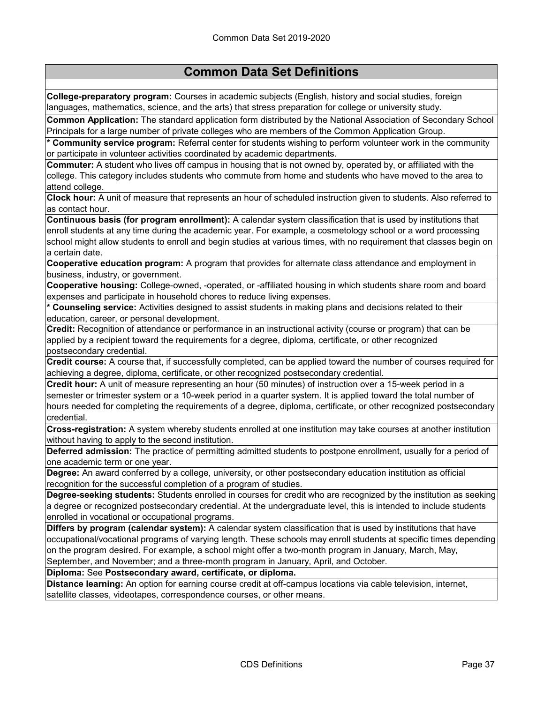**College-preparatory program:** Courses in academic subjects (English, history and social studies, foreign languages, mathematics, science, and the arts) that stress preparation for college or university study.

**Common Application:** The standard application form distributed by the National Association of Secondary School Principals for a large number of private colleges who are members of the Common Application Group.

**\* Community service program:** Referral center for students wishing to perform volunteer work in the community or participate in volunteer activities coordinated by academic departments.

**Commuter:** A student who lives off campus in housing that is not owned by, operated by, or affiliated with the college. This category includes students who commute from home and students who have moved to the area to attend college.

**Clock hour:** A unit of measure that represents an hour of scheduled instruction given to students. Also referred to as contact hour.

**Continuous basis (for program enrollment):** A calendar system classification that is used by institutions that enroll students at any time during the academic year. For example, a cosmetology school or a word processing school might allow students to enroll and begin studies at various times, with no requirement that classes begin on a certain date.

**Cooperative education program:** A program that provides for alternate class attendance and employment in business, industry, or government.

**Cooperative housing:** College-owned, -operated, or -affiliated housing in which students share room and board expenses and participate in household chores to reduce living expenses.

**\* Counseling service:** Activities designed to assist students in making plans and decisions related to their education, career, or personal development.

**Credit:** Recognition of attendance or performance in an instructional activity (course or program) that can be applied by a recipient toward the requirements for a degree, diploma, certificate, or other recognized postsecondary credential.

**Credit course:** A course that, if successfully completed, can be applied toward the number of courses required for achieving a degree, diploma, certificate, or other recognized postsecondary credential.

**Credit hour:** A unit of measure representing an hour (50 minutes) of instruction over a 15-week period in a semester or trimester system or a 10-week period in a quarter system. It is applied toward the total number of hours needed for completing the requirements of a degree, diploma, certificate, or other recognized postsecondary credential.

**Cross-registration:** A system whereby students enrolled at one institution may take courses at another institution without having to apply to the second institution.

**Deferred admission:** The practice of permitting admitted students to postpone enrollment, usually for a period of one academic term or one year.

**Degree:** An award conferred by a college, university, or other postsecondary education institution as official recognition for the successful completion of a program of studies.

**Degree-seeking students:** Students enrolled in courses for credit who are recognized by the institution as seeking a degree or recognized postsecondary credential. At the undergraduate level, this is intended to include students enrolled in vocational or occupational programs.

**Differs by program (calendar system):** A calendar system classification that is used by institutions that have occupational/vocational programs of varying length. These schools may enroll students at specific times depending on the program desired. For example, a school might offer a two-month program in January, March, May, September, and November; and a three-month program in January, April, and October.

**Diploma:** See **Postsecondary award, certificate, or diploma.**

**Distance learning:** An option for earning course credit at off-campus locations via cable television, internet, satellite classes, videotapes, correspondence courses, or other means.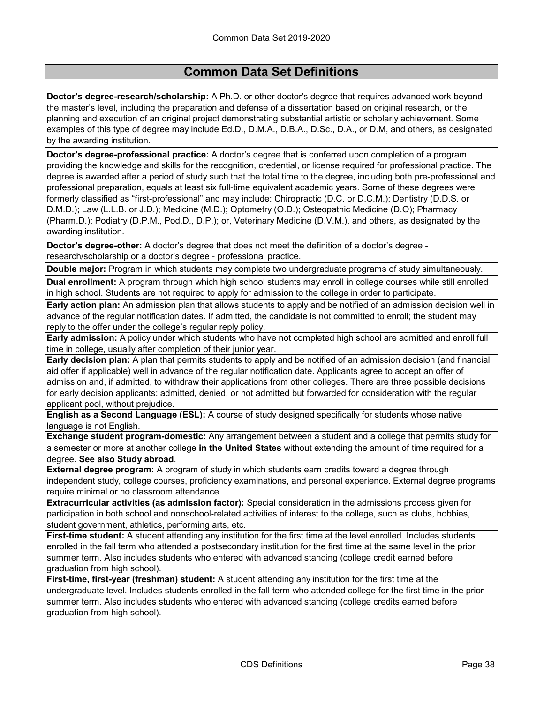**Doctor's degree-research/scholarship:** A Ph.D. or other doctor's degree that requires advanced work beyond the master's level, including the preparation and defense of a dissertation based on original research, or the planning and execution of an original project demonstrating substantial artistic or scholarly achievement. Some examples of this type of degree may include Ed.D., D.M.A., D.B.A., D.Sc., D.A., or D.M, and others, as designated by the awarding institution.

**Doctor's degree-professional practice:** A doctor's degree that is conferred upon completion of a program providing the knowledge and skills for the recognition, credential, or license required for professional practice. The degree is awarded after a period of study such that the total time to the degree, including both pre-professional and professional preparation, equals at least six full-time equivalent academic years. Some of these degrees were formerly classified as "first-professional" and may include: Chiropractic (D.C. or D.C.M.); Dentistry (D.D.S. or D.M.D.); Law (L.L.B. or J.D.); Medicine (M.D.); Optometry (O.D.); Osteopathic Medicine (D.O); Pharmacy (Pharm.D.); Podiatry (D.P.M., Pod.D., D.P.); or, Veterinary Medicine (D.V.M.), and others, as designated by the awarding institution.

**Doctor's degree-other:** A doctor's degree that does not meet the definition of a doctor's degree research/scholarship or a doctor's degree - professional practice.

**Double major:** Program in which students may complete two undergraduate programs of study simultaneously.

**Dual enrollment:** A program through which high school students may enroll in college courses while still enrolled in high school. Students are not required to apply for admission to the college in order to participate.

**Early action plan:** An admission plan that allows students to apply and be notified of an admission decision well in advance of the regular notification dates. If admitted, the candidate is not committed to enroll; the student may reply to the offer under the college's regular reply policy.

**Early admission:** A policy under which students who have not completed high school are admitted and enroll full time in college, usually after completion of their junior year.

**Early decision plan:** A plan that permits students to apply and be notified of an admission decision (and financial aid offer if applicable) well in advance of the regular notification date. Applicants agree to accept an offer of admission and, if admitted, to withdraw their applications from other colleges. There are three possible decisions for early decision applicants: admitted, denied, or not admitted but forwarded for consideration with the regular applicant pool, without prejudice.

**English as a Second Language (ESL):** A course of study designed specifically for students whose native language is not English.

**Exchange student program-domestic:** Any arrangement between a student and a college that permits study for a semester or more at another college **in the United States** without extending the amount of time required for a degree. **See also Study abroad**.

**External degree program:** A program of study in which students earn credits toward a degree through independent study, college courses, proficiency examinations, and personal experience. External degree programs require minimal or no classroom attendance.

**Extracurricular activities (as admission factor):** Special consideration in the admissions process given for participation in both school and nonschool-related activities of interest to the college, such as clubs, hobbies, student government, athletics, performing arts, etc.

**First-time student:** A student attending any institution for the first time at the level enrolled. Includes students enrolled in the fall term who attended a postsecondary institution for the first time at the same level in the prior summer term. Also includes students who entered with advanced standing (college credit earned before graduation from high school).

**First-time, first-year (freshman) student:** A student attending any institution for the first time at the undergraduate level. Includes students enrolled in the fall term who attended college for the first time in the prior summer term. Also includes students who entered with advanced standing (college credits earned before graduation from high school).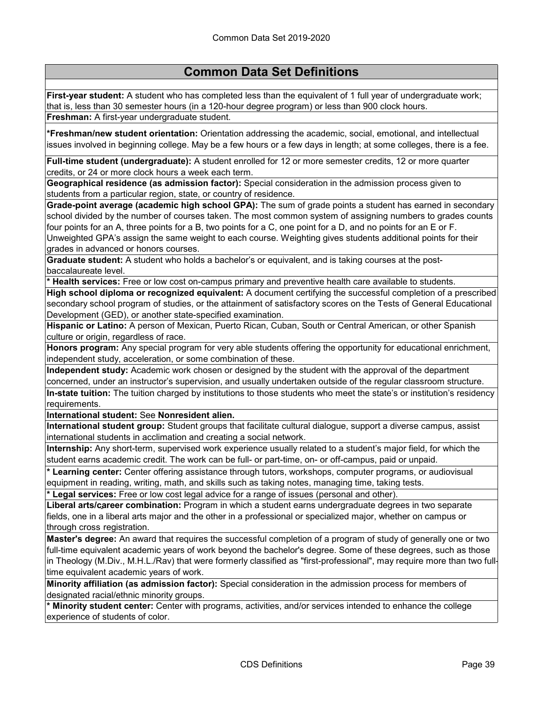**First-year student:** A student who has completed less than the equivalent of 1 full year of undergraduate work; that is, less than 30 semester hours (in a 120-hour degree program) or less than 900 clock hours. **Freshman:** A first-year undergraduate student.

**\*Freshman/new student orientation:** Orientation addressing the academic, social, emotional, and intellectual issues involved in beginning college. May be a few hours or a few days in length; at some colleges, there is a fee.

**Full-time student (undergraduate):** A student enrolled for 12 or more semester credits, 12 or more quarter credits, or 24 or more clock hours a week each term.

**Geographical residence (as admission factor):** Special consideration in the admission process given to students from a particular region, state, or country of residence.

**Grade-point average (academic high school GPA):** The sum of grade points a student has earned in secondary school divided by the number of courses taken. The most common system of assigning numbers to grades counts four points for an A, three points for a B, two points for a C, one point for a D, and no points for an E or F. Unweighted GPA's assign the same weight to each course. Weighting gives students additional points for their grades in advanced or honors courses.

**Graduate student:** A student who holds a bachelor's or equivalent, and is taking courses at the postbaccalaureate level.

**\* Health services:** Free or low cost on-campus primary and preventive health care available to students.

**High school diploma or recognized equivalent:** A document certifying the successful completion of a prescribed secondary school program of studies, or the attainment of satisfactory scores on the Tests of General Educational Development (GED), or another state-specified examination.

**Hispanic or Latino:** A person of Mexican, Puerto Rican, Cuban, South or Central American, or other Spanish culture or origin, regardless of race.

**Honors program:** Any special program for very able students offering the opportunity for educational enrichment, independent study, acceleration, or some combination of these.

**Independent study:** Academic work chosen or designed by the student with the approval of the department concerned, under an instructor's supervision, and usually undertaken outside of the regular classroom structure.

**In-state tuition:** The tuition charged by institutions to those students who meet the state's or institution's residency requirements.

**International student:** See **Nonresident alien.**

**International student group:** Student groups that facilitate cultural dialogue, support a diverse campus, assist international students in acclimation and creating a social network.

**Internship:** Any short-term, supervised work experience usually related to a student's major field, for which the student earns academic credit. The work can be full- or part-time, on- or off-campus, paid or unpaid.

**\* Learning center:** Center offering assistance through tutors, workshops, computer programs, or audiovisual equipment in reading, writing, math, and skills such as taking notes, managing time, taking tests.

**\* Legal services:** Free or low cost legal advice for a range of issues (personal and other).

**Liberal arts/career combination:** Program in which a student earns undergraduate degrees in two separate fields, one in a liberal arts major and the other in a professional or specialized major, whether on campus or ‑ through cross registration.

**Master's degree:** An award that requires the successful completion of a program of study of generally one or two full-time equivalent academic years of work beyond the bachelor's degree. Some of these degrees, such as those in Theology (M.Div., M.H.L./Rav) that were formerly classified as "first-professional", may require more than two fulltime equivalent academic years of work.

**Minority affiliation (as admission factor):** Special consideration in the admission process for members of designated racial/ethnic minority groups.

**\* Minority student center:** Center with programs, activities, and/or services intended to enhance the college experience of students of color.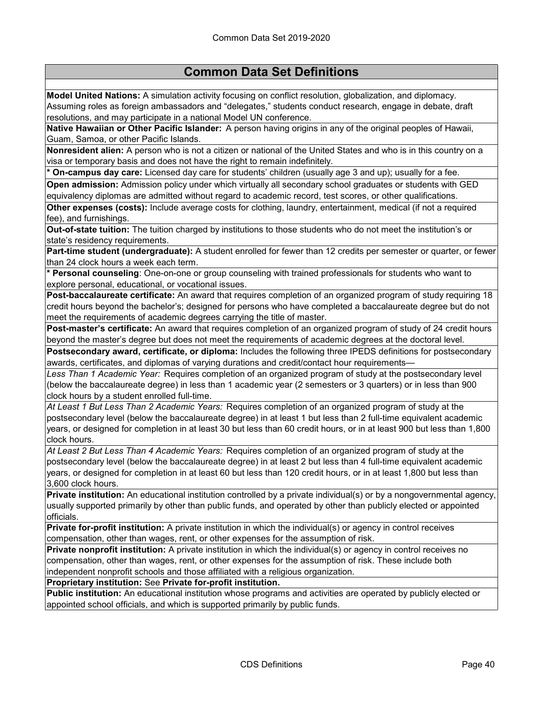**Model United Nations:** A simulation activity focusing on conflict resolution, globalization, and diplomacy. Assuming roles as foreign ambassadors and "delegates," students conduct research, engage in debate, draft resolutions, and may participate in a national Model UN conference.

**Native Hawaiian or Other Pacific Islander:** A person having origins in any of the original peoples of Hawaii, Guam, Samoa, or other Pacific Islands.

**Nonresident alien:** A person who is not a citizen or national of the United States and who is in this country on a visa or temporary basis and does not have the right to remain indefinitely.

**\* On-campus day care:** Licensed day care for students' children (usually age 3 and up); usually for a fee.

**Open admission:** Admission policy under which virtually all secondary school graduates or students with GED equivalency diplomas are admitted without regard to academic record, test scores, or other qualifications.

**Other expenses (costs):** Include average costs for clothing, laundry, entertainment, medical (if not a required fee), and furnishings.

**Out-of-state tuition:** The tuition charged by institutions to those students who do not meet the institution's or state's residency requirements.

**Part-time student (undergraduate):** A student enrolled for fewer than 12 credits per semester or quarter, or fewer than 24 clock hours a week each term.

**\* Personal counseling**: One-on-one or group counseling with trained professionals for students who want to explore personal, educational, or vocational issues.

**Post-baccalaureate certificate:** An award that requires completion of an organized program of study requiring 18 credit hours beyond the bachelor's; designed for persons who have completed a baccalaureate degree but do not meet the requirements of academic degrees carrying the title of master.

**Post-master's certificate:** An award that requires completion of an organized program of study of 24 credit hours beyond the master's degree but does not meet the requirements of academic degrees at the doctoral level.

**Postsecondary award, certificate, or diploma:** Includes the following three IPEDS definitions for postsecondary awards, certificates, and diplomas of varying durations and credit/contact hour requirements—

*Less Than 1 Academic Year:* Requires completion of an organized program of study at the postsecondary level (below the baccalaureate degree) in less than 1 academic year (2 semesters or 3 quarters) or in less than 900 clock hours by a student enrolled full-time.

*At Least 1 But Less Than 2 Academic Years:* Requires completion of an organized program of study at the postsecondary level (below the baccalaureate degree) in at least 1 but less than 2 full-time equivalent academic years, or designed for completion in at least 30 but less than 60 credit hours, or in at least 900 but less than 1,800 clock hours.

*At Least 2 But Less Than 4 Academic Years:* Requires completion of an organized program of study at the postsecondary level (below the baccalaureate degree) in at least 2 but less than 4 full-time equivalent academic years, or designed for completion in at least 60 but less than 120 credit hours, or in at least 1,800 but less than 3,600 clock hours.

**Private institution:** An educational institution controlled by a private individual(s) or by a nongovernmental agency, usually supported primarily by other than public funds, and operated by other than publicly elected or appointed officials.

**Private for-profit institution:** A private institution in which the individual(s) or agency in control receives compensation, other than wages, rent, or other expenses for the assumption of risk.

**Private nonprofit institution:** A private institution in which the individual(s) or agency in control receives no compensation, other than wages, rent, or other expenses for the assumption of risk. These include both independent nonprofit schools and those affiliated with a religious organization.

**Proprietary institution:** See **Private for-profit institution.**

**Public institution:** An educational institution whose programs and activities are operated by publicly elected or appointed school officials, and which is supported primarily by public funds.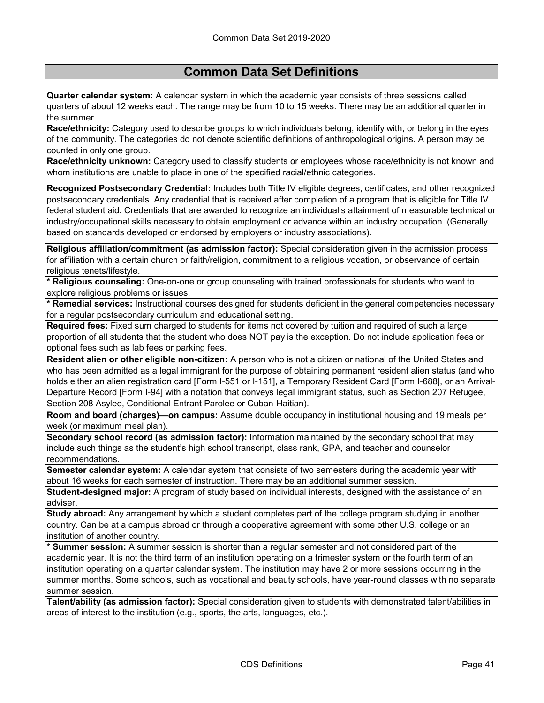**Quarter calendar system:** A calendar system in which the academic year consists of three sessions called quarters of about 12 weeks each. The range may be from 10 to 15 weeks. There may be an additional quarter in the summer.

**Race/ethnicity:** Category used to describe groups to which individuals belong, identify with, or belong in the eyes of the community. The categories do not denote scientific definitions of anthropological origins. A person may be counted in only one group.

**Race/ethnicity unknown:** Category used to classify students or employees whose race/ethnicity is not known and whom institutions are unable to place in one of the specified racial/ethnic categories.

**Recognized Postsecondary Credential:** Includes both Title IV eligible degrees, certificates, and other recognized postsecondary credentials. Any credential that is received after completion of a program that is eligible for Title IV federal student aid. Credentials that are awarded to recognize an individual's attainment of measurable technical or industry/occupational skills necessary to obtain employment or advance within an industry occupation. (Generally based on standards developed or endorsed by employers or industry associations).

**Religious affiliation/commitment (as admission factor):** Special consideration given in the admission process for affiliation with a certain church or faith/religion, commitment to a religious vocation, or observance of certain religious tenets/lifestyle.

**\* Religious counseling:** One-on-one or group counseling with trained professionals for students who want to explore religious problems or issues.

**\* Remedial services:** Instructional courses designed for students deficient in the general competencies necessary for a regular postsecondary curriculum and educational setting.

**Required fees:** Fixed sum charged to students for items not covered by tuition and required of such a large proportion of all students that the student who does NOT pay is the exception. Do not include application fees or optional fees such as lab fees or parking fees.

**Resident alien or other eligible non-citizen:** A person who is not a citizen or national of the United States and who has been admitted as a legal immigrant for the purpose of obtaining permanent resident alien status (and who holds either an alien registration card [Form I-551 or I-151], a Temporary Resident Card [Form I-688], or an Arrival-Departure Record [Form I-94] with a notation that conveys legal immigrant status, such as Section 207 Refugee, Section 208 Asylee, Conditional Entrant Parolee or Cuban-Haitian).

**Room and board (charges)—on campus:** Assume double occupancy in institutional housing and 19 meals per week (or maximum meal plan).

**Secondary school record (as admission factor):** Information maintained by the secondary school that may include such things as the student's high school transcript, class rank, GPA, and teacher and counselor recommendations.

**Semester calendar system:** A calendar system that consists of two semesters during the academic year with about 16 weeks for each semester of instruction. There may be an additional summer session.

**Student-designed major:** A program of study based on individual interests, designed with the assistance of an adviser.

**Study abroad:** Any arrangement by which a student completes part of the college program studying in another country. Can be at a campus abroad or through a cooperative agreement with some other U.S. college or an institution of another country.

**\* Summer session:** A summer session is shorter than a regular semester and not considered part of the academic year. It is not the third term of an institution operating on a trimester system or the fourth term of an institution operating on a quarter calendar system. The institution may have 2 or more sessions occurring in the summer months. Some schools, such as vocational and beauty schools, have year-round classes with no separate summer session.

**Talent/ability (as admission factor):** Special consideration given to students with demonstrated talent/abilities in areas of interest to the institution (e.g., sports, the arts, languages, etc.).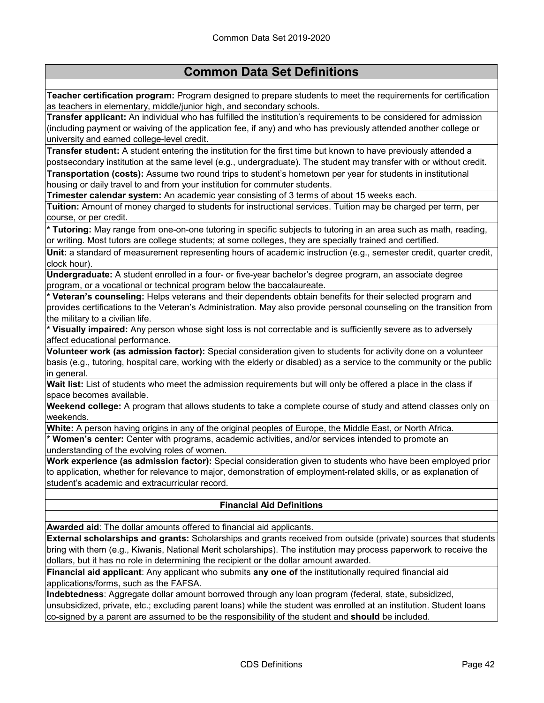**Teacher certification program:** Program designed to prepare students to meet the requirements for certification as teachers in elementary, middle/junior high, and secondary schools.

**Transfer applicant:** An individual who has fulfilled the institution's requirements to be considered for admission (including payment or waiving of the application fee, if any) and who has previously attended another college or university and earned college-level credit.

**Transfer student:** A student entering the institution for the first time but known to have previously attended a postsecondary institution at the same level (e.g., undergraduate). The student may transfer with or without credit.

**Transportation (costs):** Assume two round trips to student's hometown per year for students in institutional housing or daily travel to and from your institution for commuter students.

**Trimester calendar system:** An academic year consisting of 3 terms of about 15 weeks each.

**Tuition:** Amount of money charged to students for instructional services. Tuition may be charged per term, per course, or per credit.

**\* Tutoring:** May range from one-on-one tutoring in specific subjects to tutoring in an area such as math, reading, or writing. Most tutors are college students; at some colleges, they are specially trained and certified.

**Unit:** a standard of measurement representing hours of academic instruction (e.g., semester credit, quarter credit, clock hour).

**Undergraduate:** A student enrolled in a four- or five-year bachelor's degree program, an associate degree program, or a vocational or technical program below the baccalaureate.

**\* Veteran's counseling:** Helps veterans and their dependents obtain benefits for their selected program and provides certifications to the Veteran's Administration. May also provide personal counseling on the transition from the military to a civilian life.

**\* Visually impaired:** Any person whose sight loss is not correctable and is sufficiently severe as to adversely affect educational performance.

**Volunteer work (as admission factor):** Special consideration given to students for activity done on a volunteer basis (e.g., tutoring, hospital care, working with the elderly or disabled) as a service to the community or the public in general.

**Wait list:** List of students who meet the admission requirements but will only be offered a place in the class if space becomes available.

**Weekend college:** A program that allows students to take a complete course of study and attend classes only on weekends.

**White:** A person having origins in any of the original peoples of Europe, the Middle East, or North Africa.

**\* Women's center:** Center with programs, academic activities, and/or services intended to promote an understanding of the evolving roles of women.

**Work experience (as admission factor):** Special consideration given to students who have been employed prior to application, whether for relevance to major, demonstration of employment-related skills, or as explanation of student's academic and extracurricular record.

#### **Financial Aid Definitions**

**Awarded aid**: The dollar amounts offered to financial aid applicants.

**External scholarships and grants:** Scholarships and grants received from outside (private) sources that students bring with them (e.g., Kiwanis, National Merit scholarships). The institution may process paperwork to receive the dollars, but it has no role in determining the recipient or the dollar amount awarded.

**Financial aid applicant**: Any applicant who submits **any one of** the institutionally required financial aid applications/forms, such as the FAFSA.

**Indebtedness**: Aggregate dollar amount borrowed through any loan program (federal, state, subsidized, unsubsidized, private, etc.; excluding parent loans) while the student was enrolled at an institution. Student loans co-signed by a parent are assumed to be the responsibility of the student and **should** be included.